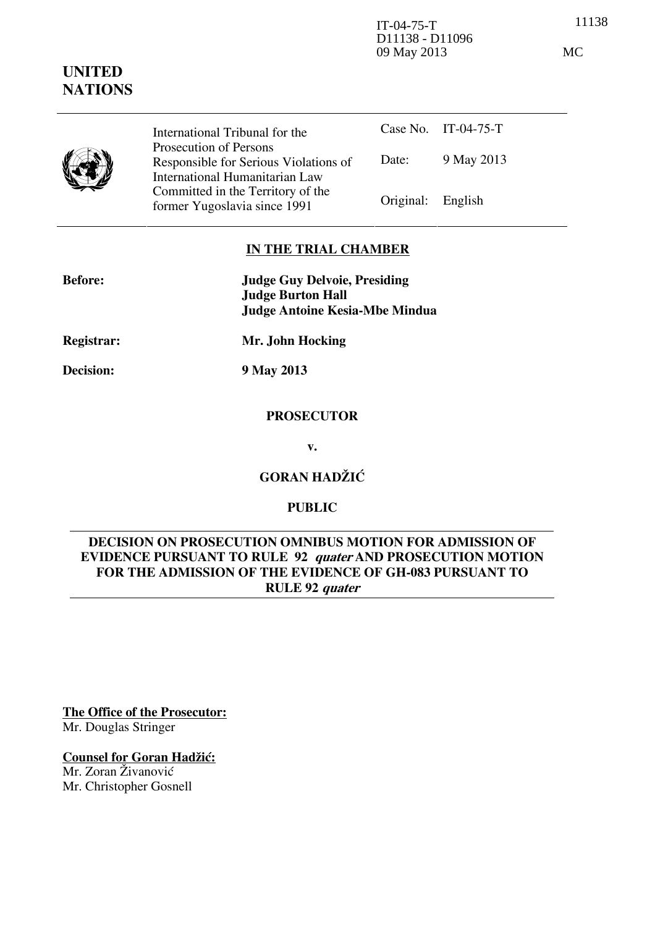11138 IT-04-75-T D11138 - D11096 09 May 2013 MC

# **NATIONS** International Tribunal for the



**UNITED** 

Prosecution of Persons Responsible for Serious Violations of International Humanitarian Law Committed in the Territory of the Former Yugoslavia since 1991 **Original:** English

Case No. IT-04-75-T Date: 9 May 2013

# **IN THE TRIAL CHAMBER**

| <b>Judge Guy Delvoie, Presiding</b> |
|-------------------------------------|
| <b>Judge Burton Hall</b>            |
| Judge Antoine Kesia-Mbe Mindua      |
|                                     |

**Registrar: Mr. John Hocking** 

**Decision: 9 May 2013** 

# **PROSECUTOR**

**v.** 

**GORAN HADŽIĆ** 

# **PUBLIC**

# **DECISION ON PROSECUTION OMNIBUS MOTION FOR ADMISSION OF EVIDENCE PURSUANT TO RULE 92 quater AND PROSECUTION MOTION FOR THE ADMISSION OF THE EVIDENCE OF GH-083 PURSUANT TO RULE 92 quater**

**The Office of the Prosecutor:**

Mr. Douglas Stringer

# **Counsel for Goran Hadžić:**

Mr. Zoran Živanović Mr. Christopher Gosnell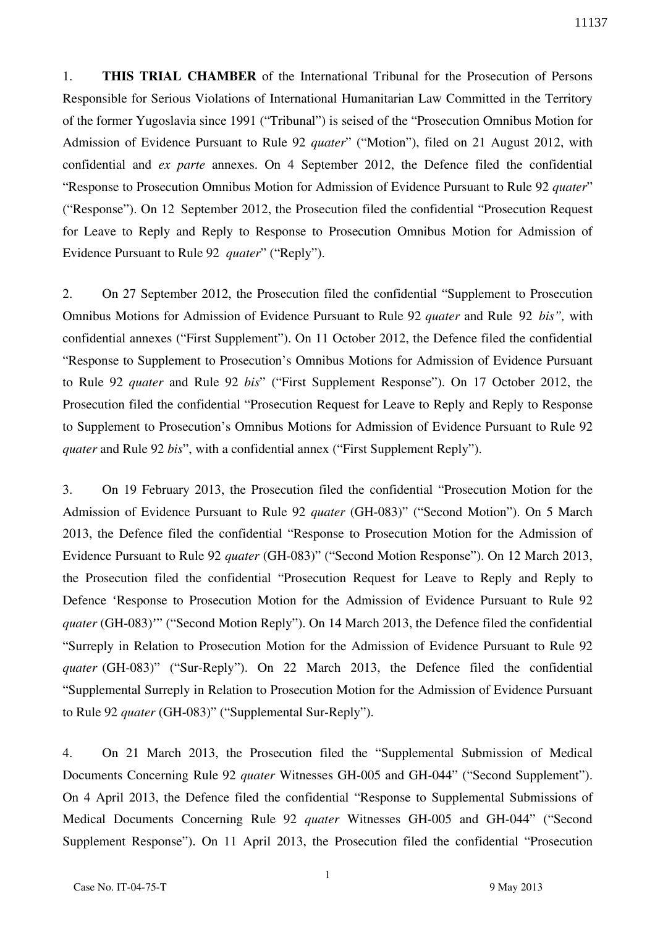1. **THIS TRIAL CHAMBER** of the International Tribunal for the Prosecution of Persons Responsible for Serious Violations of International Humanitarian Law Committed in the Territory of the former Yugoslavia since 1991 ("Tribunal") is seised of the "Prosecution Omnibus Motion for Admission of Evidence Pursuant to Rule 92 *quater*" ("Motion"), filed on 21 August 2012, with confidential and *ex parte* annexes. On 4 September 2012, the Defence filed the confidential "Response to Prosecution Omnibus Motion for Admission of Evidence Pursuant to Rule 92 *quater*" ("Response"). On 12 September 2012, the Prosecution filed the confidential "Prosecution Request for Leave to Reply and Reply to Response to Prosecution Omnibus Motion for Admission of Evidence Pursuant to Rule 92 *quater*" ("Reply").

2. On 27 September 2012, the Prosecution filed the confidential "Supplement to Prosecution Omnibus Motions for Admission of Evidence Pursuant to Rule 92 *quater* and Rule 92 *bis",* with confidential annexes ("First Supplement"). On 11 October 2012, the Defence filed the confidential "Response to Supplement to Prosecution's Omnibus Motions for Admission of Evidence Pursuant to Rule 92 *quater* and Rule 92 *bis*" ("First Supplement Response"). On 17 October 2012, the Prosecution filed the confidential "Prosecution Request for Leave to Reply and Reply to Response to Supplement to Prosecution's Omnibus Motions for Admission of Evidence Pursuant to Rule 92 *quater* and Rule 92 *bis*", with a confidential annex ("First Supplement Reply").

3. On 19 February 2013, the Prosecution filed the confidential "Prosecution Motion for the Admission of Evidence Pursuant to Rule 92 *quater* (GH-083)" ("Second Motion"). On 5 March 2013, the Defence filed the confidential "Response to Prosecution Motion for the Admission of Evidence Pursuant to Rule 92 *quater* (GH-083)" ("Second Motion Response"). On 12 March 2013, the Prosecution filed the confidential "Prosecution Request for Leave to Reply and Reply to Defence 'Response to Prosecution Motion for the Admission of Evidence Pursuant to Rule 92 *quater* (GH-083)'" ("Second Motion Reply"). On 14 March 2013, the Defence filed the confidential "Surreply in Relation to Prosecution Motion for the Admission of Evidence Pursuant to Rule 92 *quater* (GH-083)" ("Sur-Reply"). On 22 March 2013, the Defence filed the confidential "Supplemental Surreply in Relation to Prosecution Motion for the Admission of Evidence Pursuant to Rule 92 *quater* (GH-083)" ("Supplemental Sur-Reply").

4. On 21 March 2013, the Prosecution filed the "Supplemental Submission of Medical Documents Concerning Rule 92 *quater* Witnesses GH-005 and GH-044" ("Second Supplement"). On 4 April 2013, the Defence filed the confidential "Response to Supplemental Submissions of Medical Documents Concerning Rule 92 *quater* Witnesses GH-005 and GH-044" ("Second Supplement Response"). On 11 April 2013, the Prosecution filed the confidential "Prosecution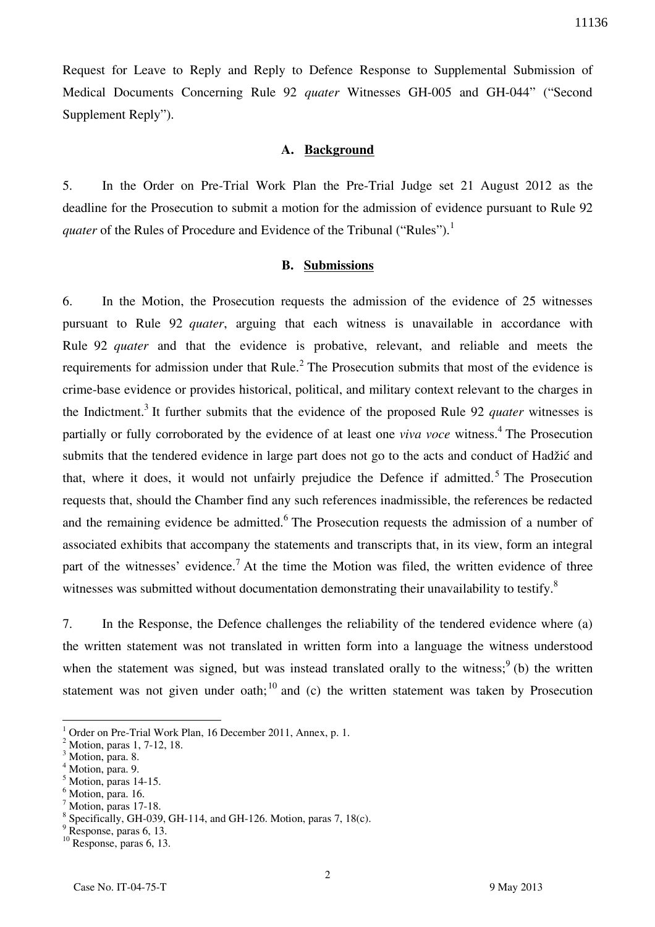Request for Leave to Reply and Reply to Defence Response to Supplemental Submission of Medical Documents Concerning Rule 92 *quater* Witnesses GH-005 and GH-044" ("Second Supplement Reply").

## **A. Background**

5. In the Order on Pre-Trial Work Plan the Pre-Trial Judge set 21 August 2012 as the deadline for the Prosecution to submit a motion for the admission of evidence pursuant to Rule 92 *quater* of the Rules of Procedure and Evidence of the Tribunal ("Rules").<sup>1</sup>

#### **B. Submissions**

6. In the Motion, the Prosecution requests the admission of the evidence of 25 witnesses pursuant to Rule 92 *quater*, arguing that each witness is unavailable in accordance with Rule 92 *quater* and that the evidence is probative, relevant, and reliable and meets the requirements for admission under that Rule. $<sup>2</sup>$  The Prosecution submits that most of the evidence is</sup> crime-base evidence or provides historical, political, and military context relevant to the charges in the Indictment.<sup>3</sup> It further submits that the evidence of the proposed Rule 92 *quater* witnesses is partially or fully corroborated by the evidence of at least one *viva voce* witness.<sup>4</sup> The Prosecution submits that the tendered evidence in large part does not go to the acts and conduct of Hadžić and that, where it does, it would not unfairly prejudice the Defence if admitted.<sup>5</sup> The Prosecution requests that, should the Chamber find any such references inadmissible, the references be redacted and the remaining evidence be admitted. <sup>6</sup> The Prosecution requests the admission of a number of associated exhibits that accompany the statements and transcripts that, in its view, form an integral part of the witnesses' evidence.<sup>7</sup> At the time the Motion was filed, the written evidence of three witnesses was submitted without documentation demonstrating their unavailability to testify.<sup>8</sup>

7. In the Response, the Defence challenges the reliability of the tendered evidence where (a) the written statement was not translated in written form into a language the witness understood when the statement was signed, but was instead translated orally to the witness;  $9$  (b) the written statement was not given under oath;<sup>10</sup> and (c) the written statement was taken by Prosecution

<sup>1</sup> Order on Pre-Trial Work Plan, 16 December 2011, Annex, p. 1.

 $^2$  Motion, paras 1, 7-12, 18.

Motion, para. 8. 4

Motion, para. 9.

 $<sup>5</sup>$  Motion, paras 14-15.</sup>

<sup>6</sup> Motion, para. 16.

 $<sup>7</sup>$  Motion, paras 17-18.</sup>

<sup>8</sup> Specifically, GH-039, GH-114, and GH-126. Motion, paras 7, 18(c).

<sup>&</sup>lt;sup>9</sup> Response, paras 6, 13.

 $10$  Response, paras 6, 13.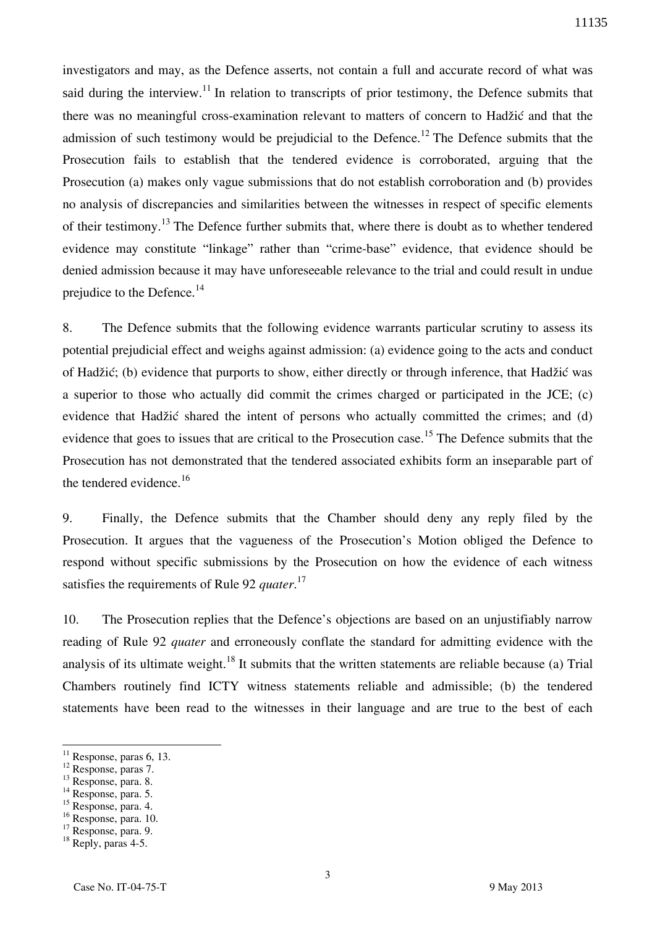investigators and may, as the Defence asserts, not contain a full and accurate record of what was said during the interview.<sup>11</sup> In relation to transcripts of prior testimony, the Defence submits that there was no meaningful cross-examination relevant to matters of concern to Hadžić and that the admission of such testimony would be prejudicial to the Defence.<sup>12</sup> The Defence submits that the Prosecution fails to establish that the tendered evidence is corroborated, arguing that the Prosecution (a) makes only vague submissions that do not establish corroboration and (b) provides no analysis of discrepancies and similarities between the witnesses in respect of specific elements of their testimony.<sup>13</sup> The Defence further submits that, where there is doubt as to whether tendered evidence may constitute "linkage" rather than "crime-base" evidence, that evidence should be denied admission because it may have unforeseeable relevance to the trial and could result in undue prejudice to the Defence. $14$ 

8. The Defence submits that the following evidence warrants particular scrutiny to assess its potential prejudicial effect and weighs against admission: (a) evidence going to the acts and conduct of Hadžić; (b) evidence that purports to show, either directly or through inference, that Hadžić was a superior to those who actually did commit the crimes charged or participated in the JCE; (c) evidence that Hadžić shared the intent of persons who actually committed the crimes; and (d) evidence that goes to issues that are critical to the Prosecution case.<sup>15</sup> The Defence submits that the Prosecution has not demonstrated that the tendered associated exhibits form an inseparable part of the tendered evidence.<sup>16</sup>

9. Finally, the Defence submits that the Chamber should deny any reply filed by the Prosecution. It argues that the vagueness of the Prosecution's Motion obliged the Defence to respond without specific submissions by the Prosecution on how the evidence of each witness satisfies the requirements of Rule 92 *quater*. 17

10. The Prosecution replies that the Defence's objections are based on an unjustifiably narrow reading of Rule 92 *quater* and erroneously conflate the standard for admitting evidence with the analysis of its ultimate weight.<sup>18</sup> It submits that the written statements are reliable because (a) Trial Chambers routinely find ICTY witness statements reliable and admissible; (b) the tendered statements have been read to the witnesses in their language and are true to the best of each

<sup>12</sup> Response, paras 7.

 $\overline{a}$ 

<sup>13</sup> Response, para. 8.

<sup>16</sup> Response, para. 10.

 $11$  Response, paras 6, 13.

<sup>&</sup>lt;sup>14</sup> Response, para. 5.

<sup>15</sup> Response, para. 4.

<sup>&</sup>lt;sup>17</sup> Response, para. 9.

<sup>&</sup>lt;sup>18</sup> Reply, paras 4-5.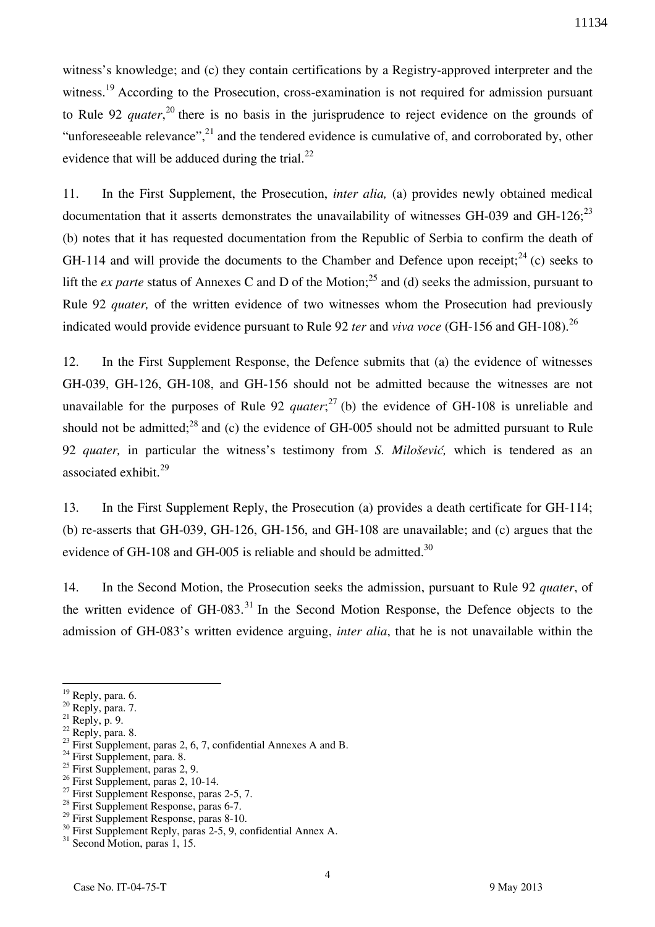witness's knowledge; and (c) they contain certifications by a Registry-approved interpreter and the witness.<sup>19</sup> According to the Prosecution, cross-examination is not required for admission pursuant to Rule 92 *quater*,<sup>20</sup> there is no basis in the jurisprudence to reject evidence on the grounds of "unforeseeable relevance",<sup>21</sup> and the tendered evidence is cumulative of, and corroborated by, other evidence that will be adduced during the trial. $^{22}$ 

11. In the First Supplement, the Prosecution, *inter alia,* (a) provides newly obtained medical documentation that it asserts demonstrates the unavailability of witnesses GH-039 and GH-126; $^{23}$ (b) notes that it has requested documentation from the Republic of Serbia to confirm the death of GH-114 and will provide the documents to the Chamber and Defence upon receipt:  $^{24}$  (c) seeks to lift the *ex parte* status of Annexes C and D of the Motion;<sup>25</sup> and (d) seeks the admission, pursuant to Rule 92 *quater,* of the written evidence of two witnesses whom the Prosecution had previously indicated would provide evidence pursuant to Rule 92 *ter* and *viva voce* (GH-156 and GH-108).<sup>26</sup>

12. In the First Supplement Response, the Defence submits that (a) the evidence of witnesses GH-039, GH-126, GH-108, and GH-156 should not be admitted because the witnesses are not unavailable for the purposes of Rule 92 *quater*;<sup>27</sup> (b) the evidence of GH-108 is unreliable and should not be admitted; $^{28}$  and (c) the evidence of GH-005 should not be admitted pursuant to Rule 92 *quater,* in particular the witness's testimony from *S. Milošević,* which is tendered as an associated exhibit.<sup>29</sup>

13. In the First Supplement Reply, the Prosecution (a) provides a death certificate for GH-114; (b) re-asserts that GH-039, GH-126, GH-156, and GH-108 are unavailable; and (c) argues that the evidence of GH-108 and GH-005 is reliable and should be admitted.<sup>30</sup>

14. In the Second Motion, the Prosecution seeks the admission, pursuant to Rule 92 *quater*, of the written evidence of  $GH$ -083.<sup>31</sup> In the Second Motion Response, the Defence objects to the admission of GH-083's written evidence arguing, *inter alia*, that he is not unavailable within the

 $19$  Reply, para. 6.

<sup>&</sup>lt;sup>20</sup> Reply, para. 7.

 $21$  Reply, p. 9.

 $22$  Reply, para. 8.

 $^{23}$  First Supplement, paras 2, 6, 7, confidential Annexes A and B.

<sup>&</sup>lt;sup>24</sup> First Supplement, para. 8.

 $^{25}$  First Supplement, paras 2, 9.

 $26$  First Supplement, paras 2, 10-14.

 $^{27}$  First Supplement Response, paras 2-5, 7.

<sup>28</sup> First Supplement Response, paras 6-7.

 $29$  First Supplement Response, paras 8-10.

<sup>&</sup>lt;sup>30</sup> First Supplement Reply, paras 2-5, 9, confidential Annex A.

 $31$  Second Motion, paras 1, 15.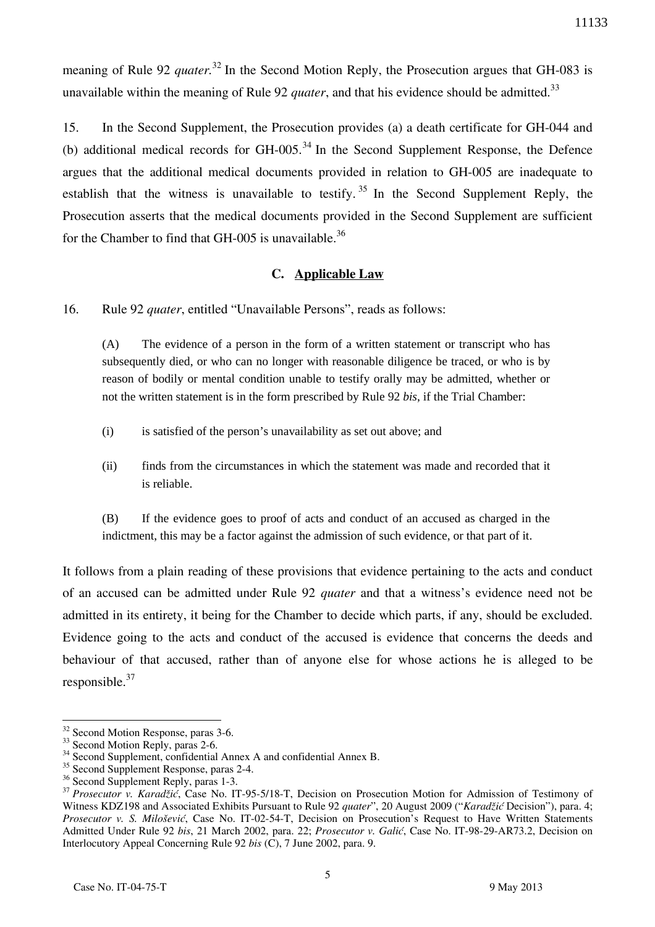meaning of Rule 92 *quater*<sup>32</sup> In the Second Motion Reply, the Prosecution argues that GH-083 is unavailable within the meaning of Rule 92 *quater*, and that his evidence should be admitted.<sup>33</sup>

15. In the Second Supplement, the Prosecution provides (a) a death certificate for GH-044 and (b) additional medical records for GH-005.<sup>34</sup> In the Second Supplement Response, the Defence argues that the additional medical documents provided in relation to GH-005 are inadequate to establish that the witness is unavailable to testify.<sup>35</sup> In the Second Supplement Reply, the Prosecution asserts that the medical documents provided in the Second Supplement are sufficient for the Chamber to find that  $GH-005$  is unavailable.<sup>36</sup>

# **C. Applicable Law**

16. Rule 92 *quater*, entitled "Unavailable Persons", reads as follows:

(A) The evidence of a person in the form of a written statement or transcript who has subsequently died, or who can no longer with reasonable diligence be traced, or who is by reason of bodily or mental condition unable to testify orally may be admitted, whether or not the written statement is in the form prescribed by Rule 92 *bis*, if the Trial Chamber:

- (i) is satisfied of the person's unavailability as set out above; and
- (ii) finds from the circumstances in which the statement was made and recorded that it is reliable.

(B) If the evidence goes to proof of acts and conduct of an accused as charged in the indictment, this may be a factor against the admission of such evidence, or that part of it.

It follows from a plain reading of these provisions that evidence pertaining to the acts and conduct of an accused can be admitted under Rule 92 *quater* and that a witness's evidence need not be admitted in its entirety, it being for the Chamber to decide which parts, if any, should be excluded. Evidence going to the acts and conduct of the accused is evidence that concerns the deeds and behaviour of that accused, rather than of anyone else for whose actions he is alleged to be responsible.<sup>37</sup>

<sup>&</sup>lt;sup>32</sup> Second Motion Response, paras 3-6.

<sup>&</sup>lt;sup>33</sup> Second Motion Reply, paras 2-6.

<sup>&</sup>lt;sup>34</sup> Second Supplement, confidential Annex A and confidential Annex B.

 $35$  Second Supplement Response, paras 2-4.

<sup>&</sup>lt;sup>36</sup> Second Supplement Reply, paras 1-3.

<sup>&</sup>lt;sup>37</sup> Prosecutor v. Karadžić, Case No. IT-95-5/18-T, Decision on Prosecution Motion for Admission of Testimony of Witness KDZ198 and Associated Exhibits Pursuant to Rule 92 *quater*", 20 August 2009 ("*Karadžić* Decision"), para. 4; *Prosecutor v. S. Milošević*, Case No. IT-02-54-T, Decision on Prosecution's Request to Have Written Statements Admitted Under Rule 92 *bis*, 21 March 2002, para. 22; *Prosecutor v. Galić*, Case No. IT-98-29-AR73.2, Decision on Interlocutory Appeal Concerning Rule 92 *bis* (C), 7 June 2002, para. 9.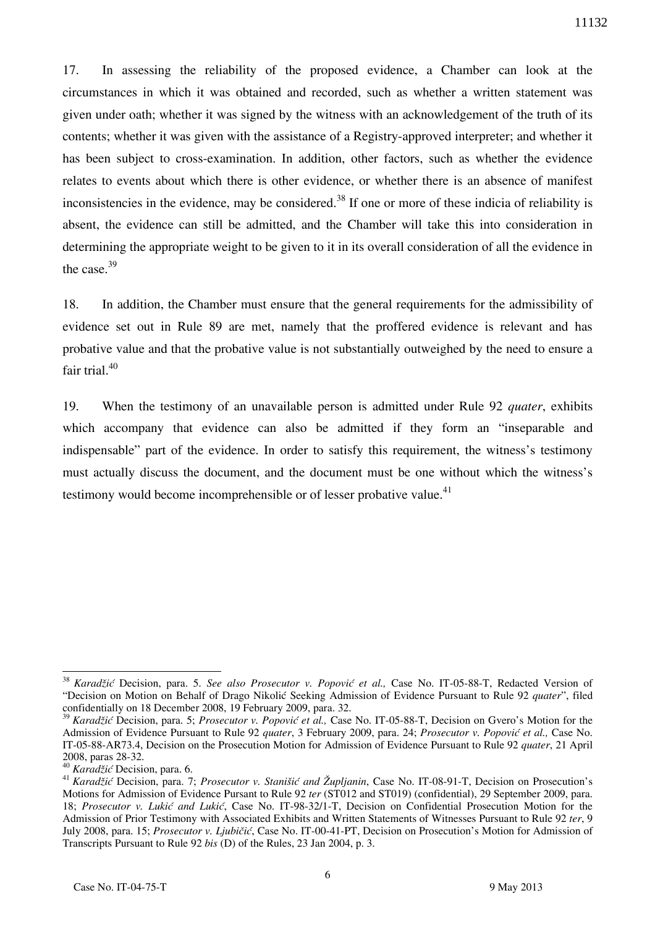17. In assessing the reliability of the proposed evidence, a Chamber can look at the circumstances in which it was obtained and recorded, such as whether a written statement was given under oath; whether it was signed by the witness with an acknowledgement of the truth of its contents; whether it was given with the assistance of a Registry-approved interpreter; and whether it has been subject to cross-examination. In addition, other factors, such as whether the evidence relates to events about which there is other evidence, or whether there is an absence of manifest inconsistencies in the evidence, may be considered.<sup>38</sup> If one or more of these indicia of reliability is absent, the evidence can still be admitted, and the Chamber will take this into consideration in determining the appropriate weight to be given to it in its overall consideration of all the evidence in the case. $39$ 

18. In addition, the Chamber must ensure that the general requirements for the admissibility of evidence set out in Rule 89 are met, namely that the proffered evidence is relevant and has probative value and that the probative value is not substantially outweighed by the need to ensure a fair trial. $40$ 

19. When the testimony of an unavailable person is admitted under Rule 92 *quater*, exhibits which accompany that evidence can also be admitted if they form an "inseparable and indispensable" part of the evidence. In order to satisfy this requirement, the witness's testimony must actually discuss the document, and the document must be one without which the witness's testimony would become incomprehensible or of lesser probative value. $41$ 

<sup>38</sup> *Karadžić* Decision, para. 5. *See also Prosecutor v. Popović et al.,* Case No. IT-05-88-T, Redacted Version of "Decision on Motion on Behalf of Drago Nikolić Seeking Admission of Evidence Pursuant to Rule 92 *quater*", filed confidentially on 18 December 2008, 19 February 2009, para. 32.

<sup>39</sup> *Karadžić* Decision, para. 5; *Prosecutor v. Popović et al.,* Case No. IT-05-88-T, Decision on Gvero's Motion for the Admission of Evidence Pursuant to Rule 92 *quater*, 3 February 2009, para. 24; *Prosecutor v. Popović et al.,* Case No. IT-05-88-AR73.4, Decision on the Prosecution Motion for Admission of Evidence Pursuant to Rule 92 *quater*, 21 April 2008, paras 28-32.

<sup>40</sup> *Karadžić* Decision, para. 6.

<sup>&</sup>lt;sup>41</sup> *Karadžić* Decision, para. 7; *Prosecutor v. Stanišić and Župljanin*, Case No. IT-08-91-T, Decision on Prosecution's Motions for Admission of Evidence Pursant to Rule 92 *ter* (ST012 and ST019) (confidential), 29 September 2009, para. 18; *Prosecutor v. Lukić and Lukić*, Case No. IT-98-32/1-T, Decision on Confidential Prosecution Motion for the Admission of Prior Testimony with Associated Exhibits and Written Statements of Witnesses Pursuant to Rule 92 *ter*, 9 July 2008, para. 15; *Prosecutor v. Ljubičić*, Case No. IT-00-41-PT, Decision on Prosecution's Motion for Admission of Transcripts Pursuant to Rule 92 *bis* (D) of the Rules, 23 Jan 2004, p. 3.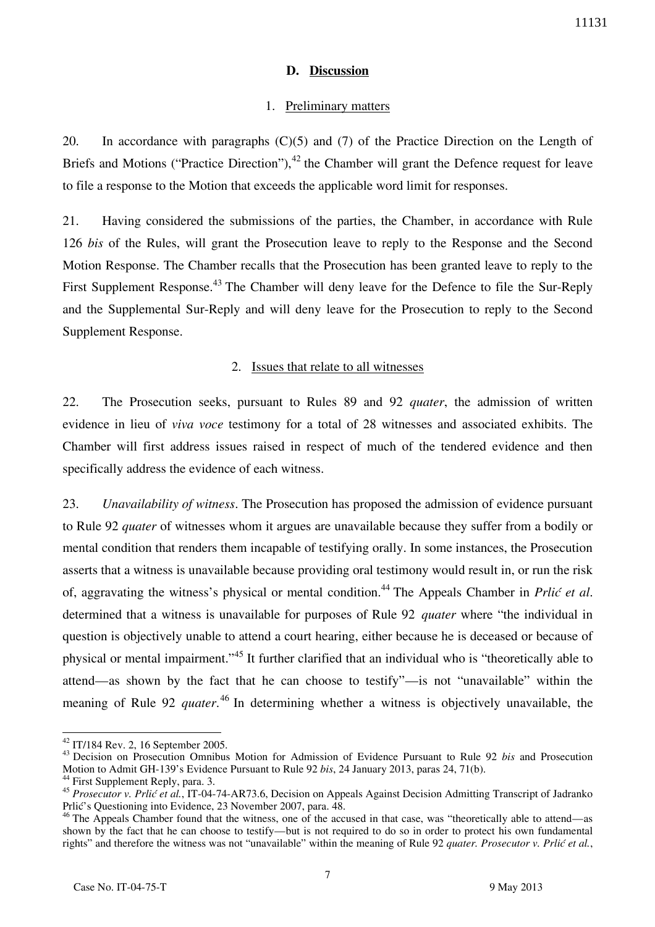## **D. Discussion**

## 1. Preliminary matters

20. In accordance with paragraphs (C)(5) and (7) of the Practice Direction on the Length of Briefs and Motions ("Practice Direction"),  $^{42}$  the Chamber will grant the Defence request for leave to file a response to the Motion that exceeds the applicable word limit for responses.

21. Having considered the submissions of the parties, the Chamber, in accordance with Rule 126 *bis* of the Rules, will grant the Prosecution leave to reply to the Response and the Second Motion Response. The Chamber recalls that the Prosecution has been granted leave to reply to the First Supplement Response.<sup>43</sup> The Chamber will deny leave for the Defence to file the Sur-Reply and the Supplemental Sur-Reply and will deny leave for the Prosecution to reply to the Second Supplement Response.

### 2. Issues that relate to all witnesses

22. The Prosecution seeks, pursuant to Rules 89 and 92 *quater*, the admission of written evidence in lieu of *viva voce* testimony for a total of 28 witnesses and associated exhibits. The Chamber will first address issues raised in respect of much of the tendered evidence and then specifically address the evidence of each witness.

23. *Unavailability of witness*. The Prosecution has proposed the admission of evidence pursuant to Rule 92 *quater* of witnesses whom it argues are unavailable because they suffer from a bodily or mental condition that renders them incapable of testifying orally. In some instances, the Prosecution asserts that a witness is unavailable because providing oral testimony would result in, or run the risk of, aggravating the witness's physical or mental condition.<sup>44</sup> The Appeals Chamber in *Prlić et al*. determined that a witness is unavailable for purposes of Rule 92 *quater* where "the individual in question is objectively unable to attend a court hearing, either because he is deceased or because of physical or mental impairment."<sup>45</sup> It further clarified that an individual who is "theoretically able to attend—as shown by the fact that he can choose to testify"—is not "unavailable" within the meaning of Rule 92 *quater*. <sup>46</sup> In determining whether a witness is objectively unavailable, the

<sup>42</sup> IT/184 Rev. 2, 16 September 2005.

<sup>43</sup> Decision on Prosecution Omnibus Motion for Admission of Evidence Pursuant to Rule 92 *bis* and Prosecution Motion to Admit GH-139's Evidence Pursuant to Rule 92 *bis*, 24 January 2013, paras 24, 71(b).

<sup>&</sup>lt;sup>44</sup> First Supplement Reply, para. 3.

<sup>45</sup> *Prosecutor v. Prlić et al.*, IT-04-74-AR73.6, Decision on Appeals Against Decision Admitting Transcript of Jadranko Prlić's Questioning into Evidence, 23 November 2007, para. 48.

<sup>&</sup>lt;sup>46</sup> The Appeals Chamber found that the witness, one of the accused in that case, was "theoretically able to attend—as shown by the fact that he can choose to testify—but is not required to do so in order to protect his own fundamental rights" and therefore the witness was not "unavailable" within the meaning of Rule 92 *quater. Prosecutor v. Prlić et al.*,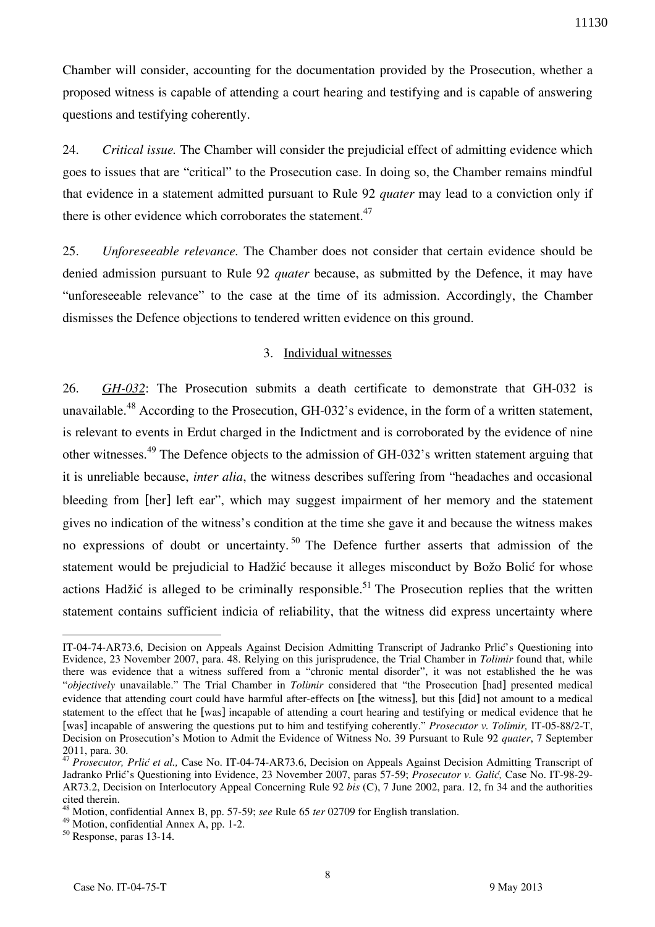Chamber will consider, accounting for the documentation provided by the Prosecution, whether a proposed witness is capable of attending a court hearing and testifying and is capable of answering questions and testifying coherently.

24. *Critical issue.* The Chamber will consider the prejudicial effect of admitting evidence which goes to issues that are "critical" to the Prosecution case. In doing so, the Chamber remains mindful that evidence in a statement admitted pursuant to Rule 92 *quater* may lead to a conviction only if there is other evidence which corroborates the statement. $47$ 

25. *Unforeseeable relevance.* The Chamber does not consider that certain evidence should be denied admission pursuant to Rule 92 *quater* because, as submitted by the Defence, it may have "unforeseeable relevance" to the case at the time of its admission. Accordingly, the Chamber dismisses the Defence objections to tendered written evidence on this ground.

## 3. Individual witnesses

26. *GH-032*: The Prosecution submits a death certificate to demonstrate that GH-032 is unavailable.<sup>48</sup> According to the Prosecution, GH-032's evidence, in the form of a written statement, is relevant to events in Erdut charged in the Indictment and is corroborated by the evidence of nine other witnesses.<sup>49</sup> The Defence objects to the admission of GH-032's written statement arguing that it is unreliable because, *inter alia*, the witness describes suffering from "headaches and occasional bleeding from [her] left ear", which may suggest impairment of her memory and the statement gives no indication of the witness's condition at the time she gave it and because the witness makes no expressions of doubt or uncertainty.<sup>50</sup> The Defence further asserts that admission of the statement would be prejudicial to Hadžić because it alleges misconduct by Božo Bolić for whose actions Hadžić is alleged to be criminally responsible.<sup>51</sup> The Prosecution replies that the written statement contains sufficient indicia of reliability, that the witness did express uncertainty where

 $\overline{a}$ IT-04-74-AR73.6, Decision on Appeals Against Decision Admitting Transcript of Jadranko Prlić's Questioning into Evidence, 23 November 2007, para. 48. Relying on this jurisprudence, the Trial Chamber in *Tolimir* found that, while there was evidence that a witness suffered from a "chronic mental disorder", it was not established the he was "*objectively* unavailable." The Trial Chamber in *Tolimir* considered that "the Prosecution [had] presented medical evidence that attending court could have harmful after-effects on [the witness], but this [did] not amount to a medical statement to the effect that he [was] incapable of attending a court hearing and testifying or medical evidence that he [was] incapable of answering the questions put to him and testifying coherently." *Prosecutor v. Tolimir,* IT-05-88/2-T, Decision on Prosecution's Motion to Admit the Evidence of Witness No. 39 Pursuant to Rule 92 *quater*, 7 September 2011, para. 30.

<sup>&</sup>lt;sup>47</sup> Prosecutor, Prlić et al., Case No. IT-04-74-AR73.6, Decision on Appeals Against Decision Admitting Transcript of Jadranko Prlić's Questioning into Evidence, 23 November 2007, paras 57-59; *Prosecutor v. Galić,* Case No. IT-98-29- AR73.2, Decision on Interlocutory Appeal Concerning Rule 92 *bis* (C), 7 June 2002, para. 12, fn 34 and the authorities cited therein.

<sup>48</sup> Motion, confidential Annex B, pp. 57-59; *see* Rule 65 *ter* 02709 for English translation.

<sup>49</sup> Motion, confidential Annex A, pp. 1-2.

<sup>50</sup> Response, paras 13-14.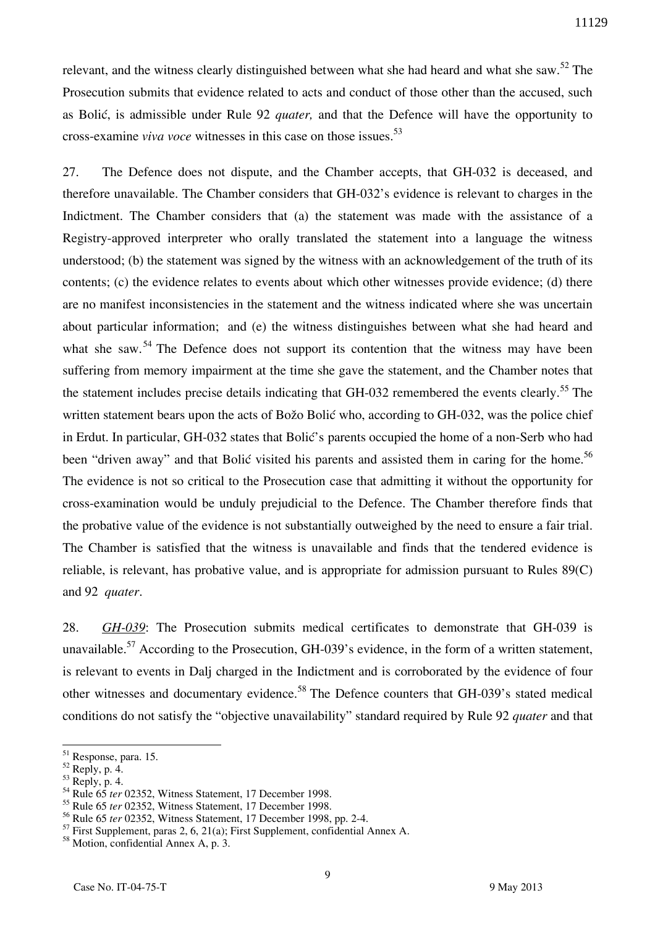relevant, and the witness clearly distinguished between what she had heard and what she saw.<sup>52</sup> The Prosecution submits that evidence related to acts and conduct of those other than the accused, such as Bolić, is admissible under Rule 92 *quater,* and that the Defence will have the opportunity to cross-examine *viva voce* witnesses in this case on those issues.<sup>53</sup>

27. The Defence does not dispute, and the Chamber accepts, that GH-032 is deceased, and therefore unavailable. The Chamber considers that GH-032's evidence is relevant to charges in the Indictment. The Chamber considers that (a) the statement was made with the assistance of a Registry-approved interpreter who orally translated the statement into a language the witness understood; (b) the statement was signed by the witness with an acknowledgement of the truth of its contents; (c) the evidence relates to events about which other witnesses provide evidence; (d) there are no manifest inconsistencies in the statement and the witness indicated where she was uncertain about particular information; and (e) the witness distinguishes between what she had heard and what she saw.<sup>54</sup> The Defence does not support its contention that the witness may have been suffering from memory impairment at the time she gave the statement, and the Chamber notes that the statement includes precise details indicating that GH-032 remembered the events clearly.<sup>55</sup> The written statement bears upon the acts of Božo Bolić who, according to GH-032, was the police chief in Erdut. In particular, GH-032 states that Bolić's parents occupied the home of a non-Serb who had been "driven away" and that Bolić visited his parents and assisted them in caring for the home.<sup>56</sup> The evidence is not so critical to the Prosecution case that admitting it without the opportunity for cross-examination would be unduly prejudicial to the Defence. The Chamber therefore finds that the probative value of the evidence is not substantially outweighed by the need to ensure a fair trial. The Chamber is satisfied that the witness is unavailable and finds that the tendered evidence is reliable, is relevant, has probative value, and is appropriate for admission pursuant to Rules 89(C) and 92 *quater*.

28. *GH-039*: The Prosecution submits medical certificates to demonstrate that GH-039 is unavailable.<sup>57</sup> According to the Prosecution, GH-039's evidence, in the form of a written statement, is relevant to events in Dalj charged in the Indictment and is corroborated by the evidence of four other witnesses and documentary evidence.<sup>58</sup> The Defence counters that GH-039's stated medical conditions do not satisfy the "objective unavailability" standard required by Rule 92 *quater* and that

<sup>&</sup>lt;sup>51</sup> Response, para. 15.

 $52$  Reply, p. 4.

 $53$  Reply, p. 4.

<sup>54</sup> Rule 65 *ter* 02352, Witness Statement, 17 December 1998.

<sup>55</sup> Rule 65 *ter* 02352, Witness Statement, 17 December 1998.

<sup>56</sup> Rule 65 *ter* 02352, Witness Statement, 17 December 1998, pp. 2-4.

<sup>57</sup> First Supplement, paras 2, 6, 21(a); First Supplement, confidential Annex A.

 $58$  Motion, confidential Annex A, p. 3.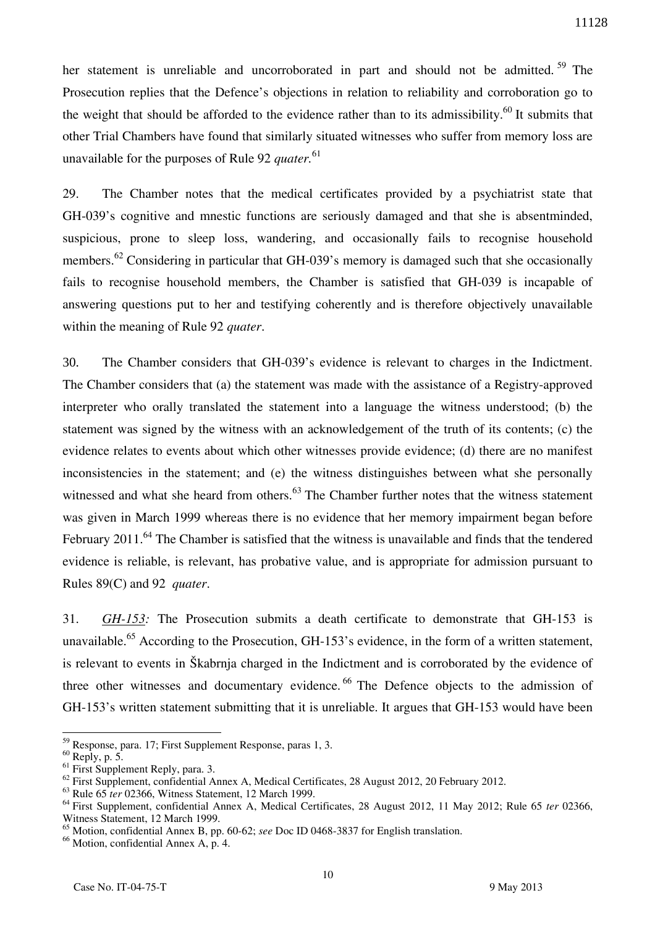her statement is unreliable and uncorroborated in part and should not be admitted.<sup>59</sup> The Prosecution replies that the Defence's objections in relation to reliability and corroboration go to the weight that should be afforded to the evidence rather than to its admissibility.<sup>60</sup> It submits that other Trial Chambers have found that similarly situated witnesses who suffer from memory loss are unavailable for the purposes of Rule 92 *quater.*<sup>61</sup>

29. The Chamber notes that the medical certificates provided by a psychiatrist state that GH-039's cognitive and mnestic functions are seriously damaged and that she is absentminded, suspicious, prone to sleep loss, wandering, and occasionally fails to recognise household members.<sup>62</sup> Considering in particular that GH-039's memory is damaged such that she occasionally fails to recognise household members, the Chamber is satisfied that GH-039 is incapable of answering questions put to her and testifying coherently and is therefore objectively unavailable within the meaning of Rule 92 *quater*.

30. The Chamber considers that GH-039's evidence is relevant to charges in the Indictment. The Chamber considers that (a) the statement was made with the assistance of a Registry-approved interpreter who orally translated the statement into a language the witness understood; (b) the statement was signed by the witness with an acknowledgement of the truth of its contents; (c) the evidence relates to events about which other witnesses provide evidence; (d) there are no manifest inconsistencies in the statement; and (e) the witness distinguishes between what she personally witnessed and what she heard from others.<sup>63</sup> The Chamber further notes that the witness statement was given in March 1999 whereas there is no evidence that her memory impairment began before February 2011.<sup>64</sup> The Chamber is satisfied that the witness is unavailable and finds that the tendered evidence is reliable, is relevant, has probative value, and is appropriate for admission pursuant to Rules 89(C) and 92 *quater*.

31. *GH-153:* The Prosecution submits a death certificate to demonstrate that GH-153 is unavailable.<sup>65</sup> According to the Prosecution, GH-153's evidence, in the form of a written statement, is relevant to events in Škabrnja charged in the Indictment and is corroborated by the evidence of three other witnesses and documentary evidence.<sup>66</sup> The Defence objects to the admission of GH-153's written statement submitting that it is unreliable. It argues that GH-153 would have been

<sup>59</sup> Response, para. 17; First Supplement Response, paras 1, 3.

 $60$  Reply, p. 5.

 $61$  First Supplement Reply, para. 3.

 $62$  First Supplement, confidential Annex A, Medical Certificates, 28 August 2012, 20 February 2012.

<sup>63</sup> Rule 65 *ter* 02366, Witness Statement, 12 March 1999.

<sup>64</sup> First Supplement, confidential Annex A, Medical Certificates, 28 August 2012, 11 May 2012; Rule 65 *ter* 02366, Witness Statement, 12 March 1999.

<sup>65</sup> Motion, confidential Annex B, pp. 60-62; *see* Doc ID 0468-3837 for English translation.

<sup>&</sup>lt;sup>66</sup> Motion, confidential Annex A, p. 4.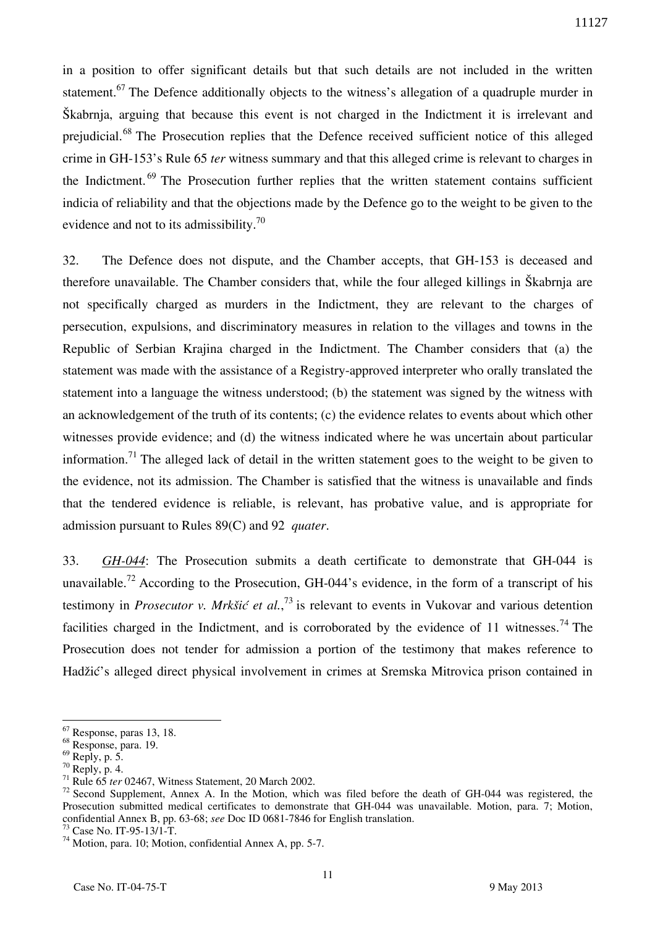in a position to offer significant details but that such details are not included in the written statement.<sup>67</sup> The Defence additionally objects to the witness's allegation of a quadruple murder in Škabrnja, arguing that because this event is not charged in the Indictment it is irrelevant and prejudicial.<sup>68</sup> The Prosecution replies that the Defence received sufficient notice of this alleged crime in GH-153's Rule 65 *ter* witness summary and that this alleged crime is relevant to charges in the Indictment.<sup>69</sup> The Prosecution further replies that the written statement contains sufficient indicia of reliability and that the objections made by the Defence go to the weight to be given to the evidence and not to its admissibility.<sup>70</sup>

32. The Defence does not dispute, and the Chamber accepts, that GH-153 is deceased and therefore unavailable. The Chamber considers that, while the four alleged killings in Škabrnja are not specifically charged as murders in the Indictment, they are relevant to the charges of persecution, expulsions, and discriminatory measures in relation to the villages and towns in the Republic of Serbian Krajina charged in the Indictment. The Chamber considers that (a) the statement was made with the assistance of a Registry-approved interpreter who orally translated the statement into a language the witness understood; (b) the statement was signed by the witness with an acknowledgement of the truth of its contents; (c) the evidence relates to events about which other witnesses provide evidence; and (d) the witness indicated where he was uncertain about particular information.<sup>71</sup> The alleged lack of detail in the written statement goes to the weight to be given to the evidence, not its admission. The Chamber is satisfied that the witness is unavailable and finds that the tendered evidence is reliable, is relevant, has probative value, and is appropriate for admission pursuant to Rules 89(C) and 92 *quater*.

33. *GH-044*: The Prosecution submits a death certificate to demonstrate that GH-044 is unavailable.<sup>72</sup> According to the Prosecution, GH-044's evidence, in the form of a transcript of his testimony in *Prosecutor v. Mrkšić et al.*, <sup>73</sup> is relevant to events in Vukovar and various detention facilities charged in the Indictment, and is corroborated by the evidence of 11 witnesses.<sup>74</sup> The Prosecution does not tender for admission a portion of the testimony that makes reference to Hadžić's alleged direct physical involvement in crimes at Sremska Mitrovica prison contained in

<sup>67</sup> Response, paras 13, 18.

<sup>68</sup> Response, para. 19.

 $69$  Reply, p. 5.

 $70$  Reply, p. 4.

<sup>71</sup> Rule 65 *ter* 02467, Witness Statement, 20 March 2002.

<sup>&</sup>lt;sup>72</sup> Second Supplement, Annex A. In the Motion, which was filed before the death of GH-044 was registered, the Prosecution submitted medical certificates to demonstrate that GH-044 was unavailable. Motion, para. 7; Motion, confidential Annex B, pp. 63-68; *see* Doc ID 0681-7846 for English translation.

<sup>73</sup> Case No. IT-95-13/1-T.

<sup>74</sup> Motion, para. 10; Motion, confidential Annex A, pp. 5-7.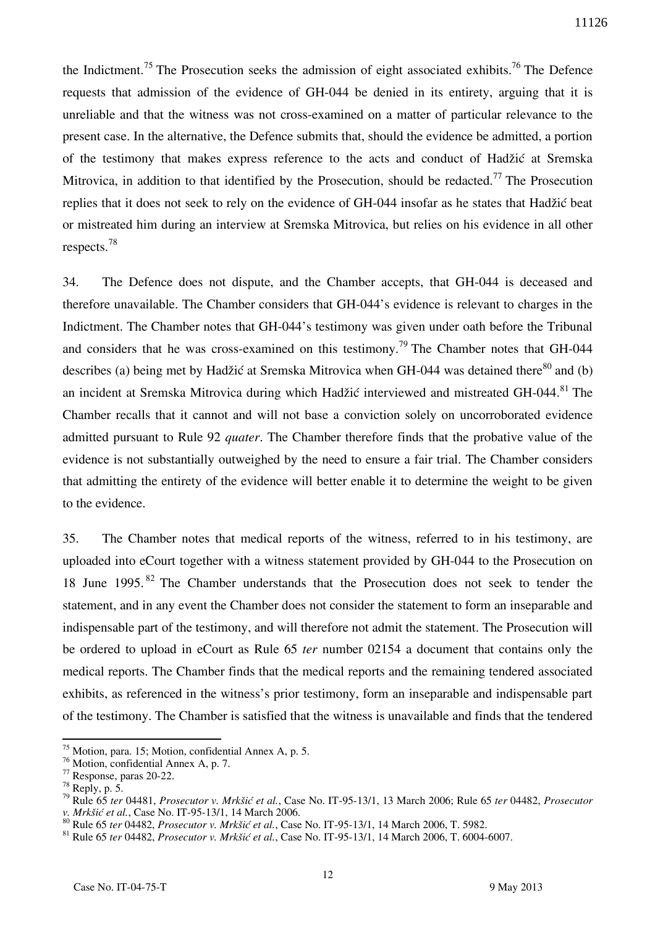the Indictment.<sup>75</sup> The Prosecution seeks the admission of eight associated exhibits.<sup>76</sup> The Defence requests that admission of the evidence of GH-044 be denied in its entirety, arguing that it is unreliable and that the witness was not cross-examined on a matter of particular relevance to the present case. In the alternative, the Defence submits that, should the evidence be admitted, a portion of the testimony that makes express reference to the acts and conduct of Hadžić at Sremska Mitrovica, in addition to that identified by the Prosecution, should be redacted.<sup>77</sup> The Prosecution replies that it does not seek to rely on the evidence of GH-044 insofar as he states that Hadžić beat or mistreated him during an interview at Sremska Mitrovica, but relies on his evidence in all other respects.<sup>78</sup>

34. The Defence does not dispute, and the Chamber accepts, that GH-044 is deceased and therefore unavailable. The Chamber considers that GH-044's evidence is relevant to charges in the Indictment. The Chamber notes that GH-044's testimony was given under oath before the Tribunal and considers that he was cross-examined on this testimony.<sup>79</sup> The Chamber notes that GH-044 describes (a) being met by Hadžić at Sremska Mitrovica when GH-044 was detained there<sup>80</sup> and (b) an incident at Sremska Mitrovica during which Hadžić interviewed and mistreated GH-044.<sup>81</sup> The Chamber recalls that it cannot and will not base a conviction solely on uncorroborated evidence admitted pursuant to Rule 92 *quater*. The Chamber therefore finds that the probative value of the evidence is not substantially outweighed by the need to ensure a fair trial. The Chamber considers that admitting the entirety of the evidence will better enable it to determine the weight to be given to the evidence.

35. The Chamber notes that medical reports of the witness, referred to in his testimony, are uploaded into eCourt together with a witness statement provided by GH-044 to the Prosecution on 18 June 1995.<sup>82</sup> The Chamber understands that the Prosecution does not seek to tender the statement, and in any event the Chamber does not consider the statement to form an inseparable and indispensable part of the testimony, and will therefore not admit the statement. The Prosecution will be ordered to upload in eCourt as Rule 65 *ter* number 02154 a document that contains only the medical reports. The Chamber finds that the medical reports and the remaining tendered associated exhibits, as referenced in the witness's prior testimony, form an inseparable and indispensable part of the testimony. The Chamber is satisfied that the witness is unavailable and finds that the tendered

 $75$  Motion, para. 15; Motion, confidential Annex A, p. 5.

<sup>76</sup> Motion, confidential Annex A, p. 7.

<sup>77</sup> Response, paras 20-22.

 $78$  Reply, p. 5.

<sup>79</sup> Rule 65 *ter* 04481, *Prosecutor v. Mrkšić et al.*, Case No. IT-95-13/1, 13 March 2006; Rule 65 *ter* 04482, *Prosecutor v. Mrkšić et al.*, Case No. IT-95-13/1, 14 March 2006.

<sup>80</sup> Rule 65 *ter* 04482, *Prosecutor v. Mrkšić et al.*, Case No. IT-95-13/1, 14 March 2006, T. 5982.

<sup>81</sup> Rule 65 *ter* 04482, *Prosecutor v. Mrkšić et al.*, Case No. IT-95-13/1, 14 March 2006, T. 6004-6007.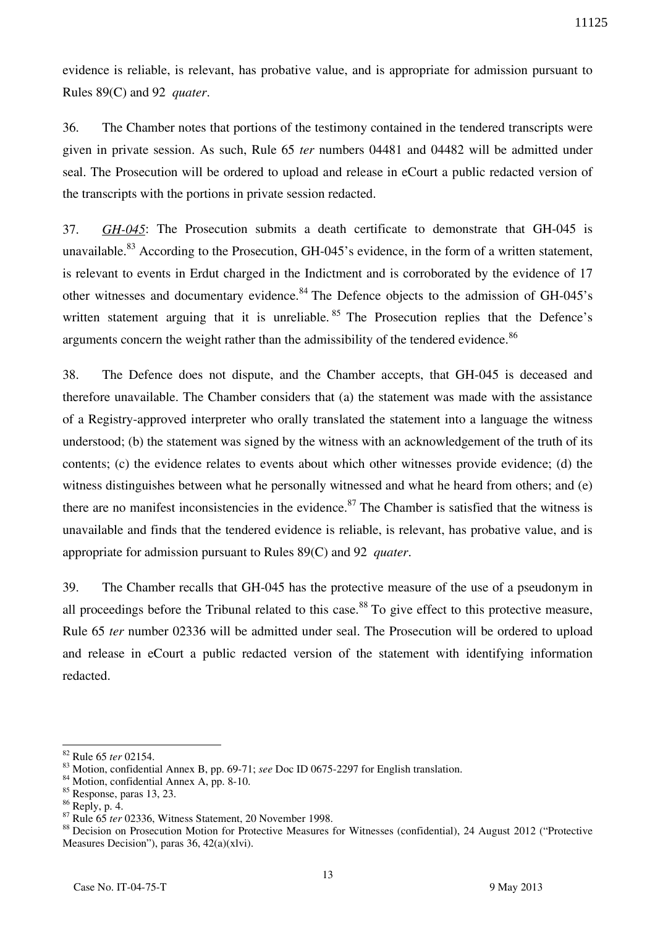evidence is reliable, is relevant, has probative value, and is appropriate for admission pursuant to Rules 89(C) and 92 *quater*.

36. The Chamber notes that portions of the testimony contained in the tendered transcripts were given in private session. As such, Rule 65 *ter* numbers 04481 and 04482 will be admitted under seal. The Prosecution will be ordered to upload and release in eCourt a public redacted version of the transcripts with the portions in private session redacted.

37. *GH-045*: The Prosecution submits a death certificate to demonstrate that GH-045 is unavailable.<sup>83</sup> According to the Prosecution, GH-045's evidence, in the form of a written statement, is relevant to events in Erdut charged in the Indictment and is corroborated by the evidence of 17 other witnesses and documentary evidence.<sup>84</sup> The Defence objects to the admission of GH-045's written statement arguing that it is unreliable.  $85$  The Prosecution replies that the Defence's arguments concern the weight rather than the admissibility of the tendered evidence.<sup>86</sup>

38. The Defence does not dispute, and the Chamber accepts, that GH-045 is deceased and therefore unavailable. The Chamber considers that (a) the statement was made with the assistance of a Registry-approved interpreter who orally translated the statement into a language the witness understood; (b) the statement was signed by the witness with an acknowledgement of the truth of its contents; (c) the evidence relates to events about which other witnesses provide evidence; (d) the witness distinguishes between what he personally witnessed and what he heard from others; and (e) there are no manifest inconsistencies in the evidence.<sup>87</sup> The Chamber is satisfied that the witness is unavailable and finds that the tendered evidence is reliable, is relevant, has probative value, and is appropriate for admission pursuant to Rules 89(C) and 92 *quater*.

39. The Chamber recalls that GH-045 has the protective measure of the use of a pseudonym in all proceedings before the Tribunal related to this case.<sup>88</sup> To give effect to this protective measure, Rule 65 *ter* number 02336 will be admitted under seal. The Prosecution will be ordered to upload and release in eCourt a public redacted version of the statement with identifying information redacted.

<sup>82</sup> Rule 65 *ter* 02154.

<sup>83</sup> Motion, confidential Annex B, pp. 69-71; *see* Doc ID 0675-2297 for English translation.

<sup>84</sup> Motion, confidential Annex A, pp. 8-10.

<sup>85</sup> Response, paras 13, 23.

<sup>86</sup> Reply, p. 4.

<sup>87</sup> Rule 65 *ter* 02336, Witness Statement, 20 November 1998.

<sup>&</sup>lt;sup>88</sup> Decision on Prosecution Motion for Protective Measures for Witnesses (confidential), 24 August 2012 ("Protective Measures Decision"), paras 36, 42(a)(xlvi).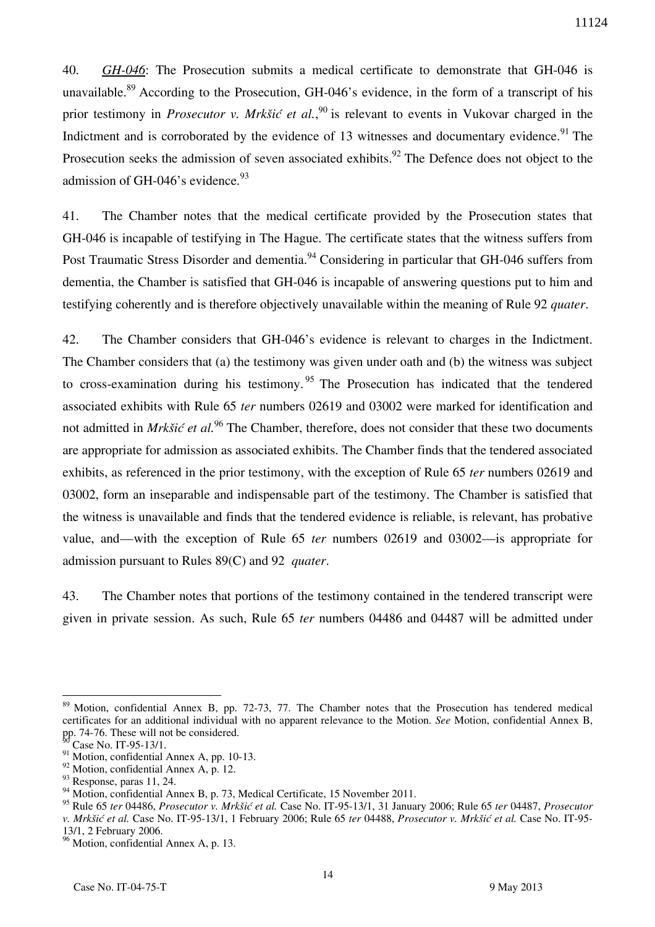40. *GH-046*: The Prosecution submits a medical certificate to demonstrate that GH-046 is unavailable.<sup>89</sup> According to the Prosecution, GH-046's evidence, in the form of a transcript of his prior testimony in *Prosecutor v. Mrkšić et al.*,<sup>90</sup> is relevant to events in Vukovar charged in the Indictment and is corroborated by the evidence of 13 witnesses and documentary evidence.<sup>91</sup> The Prosecution seeks the admission of seven associated exhibits.<sup>92</sup> The Defence does not object to the admission of GH-046's evidence.<sup>93</sup>

41. The Chamber notes that the medical certificate provided by the Prosecution states that GH-046 is incapable of testifying in The Hague. The certificate states that the witness suffers from Post Traumatic Stress Disorder and dementia.<sup>94</sup> Considering in particular that GH-046 suffers from dementia, the Chamber is satisfied that GH-046 is incapable of answering questions put to him and testifying coherently and is therefore objectively unavailable within the meaning of Rule 92 *quater*.

42. The Chamber considers that GH-046's evidence is relevant to charges in the Indictment. The Chamber considers that (a) the testimony was given under oath and (b) the witness was subject to cross-examination during his testimony.<sup>95</sup> The Prosecution has indicated that the tendered associated exhibits with Rule 65 *ter* numbers 02619 and 03002 were marked for identification and not admitted in *Mrkšić et al.*<sup>96</sup> The Chamber, therefore, does not consider that these two documents are appropriate for admission as associated exhibits. The Chamber finds that the tendered associated exhibits, as referenced in the prior testimony, with the exception of Rule 65 *ter* numbers 02619 and 03002, form an inseparable and indispensable part of the testimony. The Chamber is satisfied that the witness is unavailable and finds that the tendered evidence is reliable, is relevant, has probative value, and—with the exception of Rule 65 *ter* numbers 02619 and 03002—is appropriate for admission pursuant to Rules 89(C) and 92 *quater*.

43. The Chamber notes that portions of the testimony contained in the tendered transcript were given in private session. As such, Rule 65 *ter* numbers 04486 and 04487 will be admitted under

 $\overline{a}$ <sup>89</sup> Motion, confidential Annex B, pp. 72-73, 77. The Chamber notes that the Prosecution has tendered medical certificates for an additional individual with no apparent relevance to the Motion. *See* Motion, confidential Annex B, pp. 74-76. These will not be considered.

Case No. IT-95-13/1.

 $^{91}$  Motion, confidential Annex A, pp. 10-13.

<sup>92</sup> Motion, confidential Annex A, p. 12.

<sup>&</sup>lt;sup>93</sup> Response, paras 11, 24.

<sup>&</sup>lt;sup>94</sup> Motion, confidential Annex B, p. 73, Medical Certificate, 15 November 2011.

<sup>95</sup> Rule 65 *ter* 04486, *Prosecutor v. Mrkšić et al.* Case No. IT-95-13/1, 31 January 2006; Rule 65 *ter* 04487, *Prosecutor v. Mrkšić et al.* Case No. IT-95-13/1, 1 February 2006; Rule 65 *ter* 04488, *Prosecutor v. Mrkšić et al.* Case No. IT-95- 13/1, 2 February 2006.

<sup>&</sup>lt;sup>96</sup> Motion, confidential Annex A, p. 13.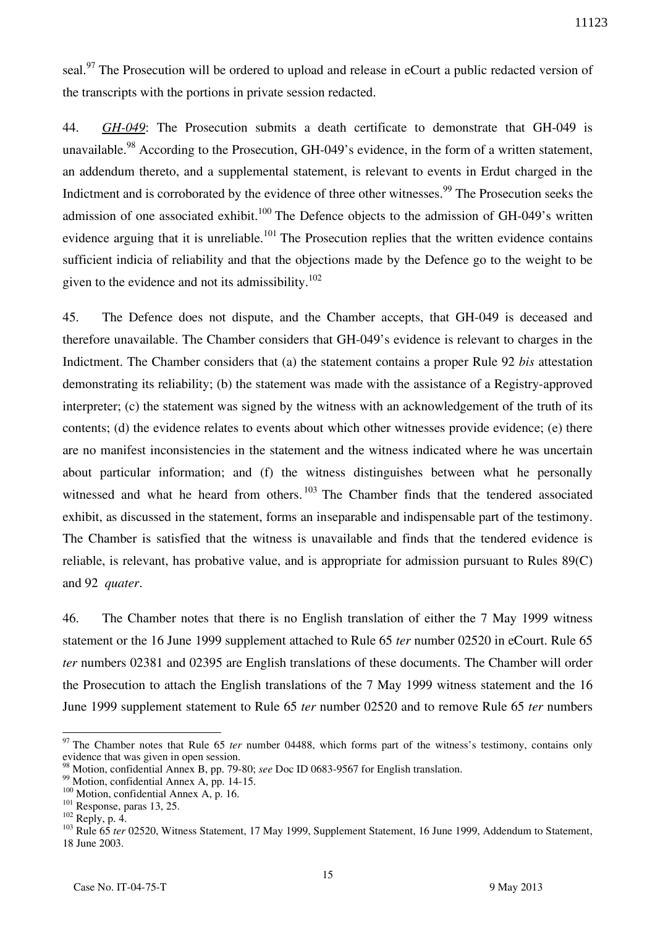seal.<sup>97</sup> The Prosecution will be ordered to upload and release in eCourt a public redacted version of the transcripts with the portions in private session redacted.

44. *GH-049*: The Prosecution submits a death certificate to demonstrate that GH-049 is unavailable.<sup>98</sup> According to the Prosecution, GH-049's evidence, in the form of a written statement, an addendum thereto, and a supplemental statement, is relevant to events in Erdut charged in the Indictment and is corroborated by the evidence of three other witnesses.<sup>99</sup> The Prosecution seeks the admission of one associated exhibit.<sup>100</sup> The Defence objects to the admission of GH-049's written evidence arguing that it is unreliable.<sup>101</sup> The Prosecution replies that the written evidence contains sufficient indicia of reliability and that the objections made by the Defence go to the weight to be given to the evidence and not its admissibility.<sup>102</sup>

45. The Defence does not dispute, and the Chamber accepts, that GH-049 is deceased and therefore unavailable. The Chamber considers that GH-049's evidence is relevant to charges in the Indictment. The Chamber considers that (a) the statement contains a proper Rule 92 *bis* attestation demonstrating its reliability; (b) the statement was made with the assistance of a Registry-approved interpreter; (c) the statement was signed by the witness with an acknowledgement of the truth of its contents; (d) the evidence relates to events about which other witnesses provide evidence; (e) there are no manifest inconsistencies in the statement and the witness indicated where he was uncertain about particular information; and (f) the witness distinguishes between what he personally witnessed and what he heard from others.<sup>103</sup> The Chamber finds that the tendered associated exhibit, as discussed in the statement, forms an inseparable and indispensable part of the testimony. The Chamber is satisfied that the witness is unavailable and finds that the tendered evidence is reliable, is relevant, has probative value, and is appropriate for admission pursuant to Rules 89(C) and 92 *quater*.

46. The Chamber notes that there is no English translation of either the 7 May 1999 witness statement or the 16 June 1999 supplement attached to Rule 65 *ter* number 02520 in eCourt. Rule 65 *ter* numbers 02381 and 02395 are English translations of these documents. The Chamber will order the Prosecution to attach the English translations of the 7 May 1999 witness statement and the 16 June 1999 supplement statement to Rule 65 *ter* number 02520 and to remove Rule 65 *ter* numbers

<sup>&</sup>lt;sup>97</sup> The Chamber notes that Rule 65 *ter* number 04488, which forms part of the witness's testimony, contains only evidence that was given in open session.

<sup>98</sup> Motion, confidential Annex B, pp. 79-80; *see* Doc ID 0683-9567 for English translation.

<sup>&</sup>lt;sup>99</sup> Motion, confidential Annex A, pp. 14-15.

<sup>&</sup>lt;sup>100</sup> Motion, confidential Annex A, p. 16.

<sup>&</sup>lt;sup>101</sup> Response, paras 13, 25.

 $^{102}$  Reply, p. 4.

<sup>&</sup>lt;sup>103</sup> Rule 65 *ter* 02520, Witness Statement, 17 May 1999, Supplement Statement, 16 June 1999, Addendum to Statement, 18 June 2003.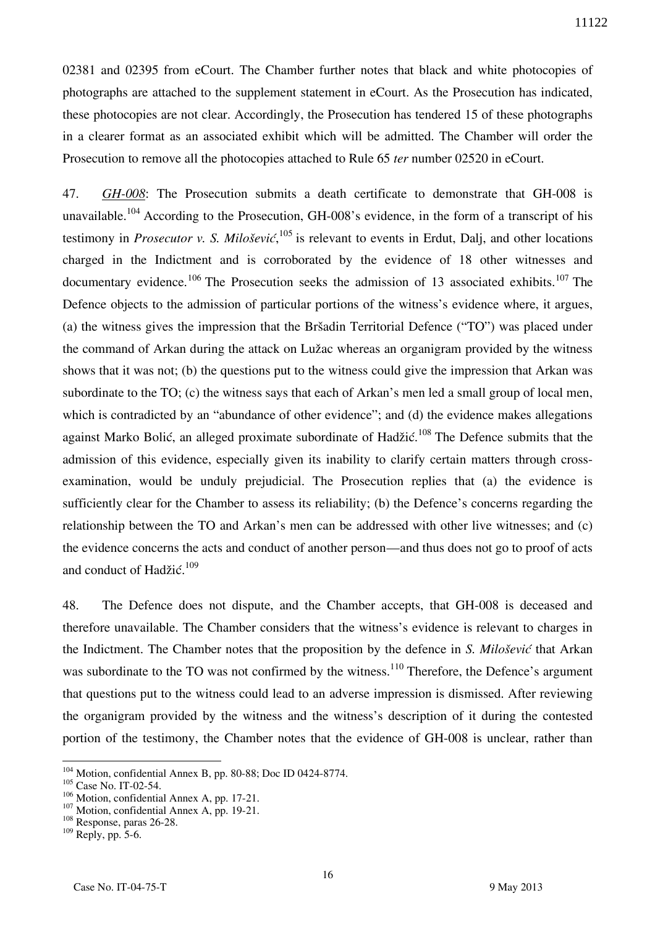02381 and 02395 from eCourt. The Chamber further notes that black and white photocopies of photographs are attached to the supplement statement in eCourt. As the Prosecution has indicated, these photocopies are not clear. Accordingly, the Prosecution has tendered 15 of these photographs in a clearer format as an associated exhibit which will be admitted. The Chamber will order the Prosecution to remove all the photocopies attached to Rule 65 *ter* number 02520 in eCourt.

47. *GH-008*: The Prosecution submits a death certificate to demonstrate that GH-008 is unavailable.<sup>104</sup> According to the Prosecution, GH-008's evidence, in the form of a transcript of his testimony in *Prosecutor v. S. Milošević*,<sup>105</sup> is relevant to events in Erdut, Dalj, and other locations charged in the Indictment and is corroborated by the evidence of 18 other witnesses and documentary evidence.<sup>106</sup> The Prosecution seeks the admission of 13 associated exhibits.<sup>107</sup> The Defence objects to the admission of particular portions of the witness's evidence where, it argues, (a) the witness gives the impression that the Bršadin Territorial Defence ("TO") was placed under the command of Arkan during the attack on Lužac whereas an organigram provided by the witness shows that it was not; (b) the questions put to the witness could give the impression that Arkan was subordinate to the TO; (c) the witness says that each of Arkan's men led a small group of local men, which is contradicted by an "abundance of other evidence"; and (d) the evidence makes allegations against Marko Bolić, an alleged proximate subordinate of Hadžić.<sup>108</sup> The Defence submits that the admission of this evidence, especially given its inability to clarify certain matters through crossexamination, would be unduly prejudicial. The Prosecution replies that (a) the evidence is sufficiently clear for the Chamber to assess its reliability; (b) the Defence's concerns regarding the relationship between the TO and Arkan's men can be addressed with other live witnesses; and (c) the evidence concerns the acts and conduct of another person—and thus does not go to proof of acts and conduct of Hadžić.<sup>109</sup>

48. The Defence does not dispute, and the Chamber accepts, that GH-008 is deceased and therefore unavailable. The Chamber considers that the witness's evidence is relevant to charges in the Indictment. The Chamber notes that the proposition by the defence in *S. Milošević* that Arkan was subordinate to the TO was not confirmed by the witness.<sup>110</sup> Therefore, the Defence's argument that questions put to the witness could lead to an adverse impression is dismissed. After reviewing the organigram provided by the witness and the witness's description of it during the contested portion of the testimony, the Chamber notes that the evidence of GH-008 is unclear, rather than

<sup>&</sup>lt;sup>104</sup> Motion, confidential Annex B, pp. 80-88; Doc ID 0424-8774.

<sup>&</sup>lt;sup>105</sup> Case No. IT-02-54.

<sup>&</sup>lt;sup>106</sup> Motion, confidential Annex A, pp. 17-21.

<sup>&</sup>lt;sup>107</sup> Motion, confidential Annex A, pp. 19-21.

<sup>&</sup>lt;sup>108</sup> Response, paras 26-28.

 $109$  Reply, pp. 5-6.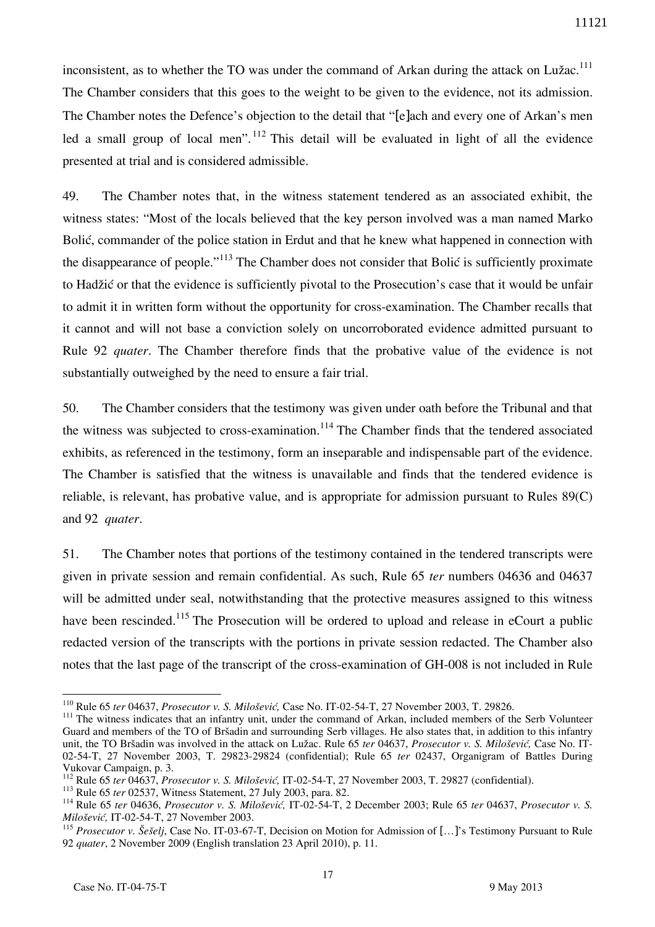inconsistent, as to whether the TO was under the command of Arkan during the attack on Lužac.<sup>111</sup> The Chamber considers that this goes to the weight to be given to the evidence, not its admission. The Chamber notes the Defence's objection to the detail that "[e]ach and every one of Arkan's men led a small group of local men".  $\frac{112}{2}$  This detail will be evaluated in light of all the evidence presented at trial and is considered admissible.

49. The Chamber notes that, in the witness statement tendered as an associated exhibit, the witness states: "Most of the locals believed that the key person involved was a man named Marko Bolić, commander of the police station in Erdut and that he knew what happened in connection with the disappearance of people."<sup>113</sup> The Chamber does not consider that Bolić is sufficiently proximate to Hadžić or that the evidence is sufficiently pivotal to the Prosecution's case that it would be unfair to admit it in written form without the opportunity for cross-examination. The Chamber recalls that it cannot and will not base a conviction solely on uncorroborated evidence admitted pursuant to Rule 92 *quater*. The Chamber therefore finds that the probative value of the evidence is not substantially outweighed by the need to ensure a fair trial.

50. The Chamber considers that the testimony was given under oath before the Tribunal and that the witness was subjected to cross-examination.<sup>114</sup> The Chamber finds that the tendered associated exhibits, as referenced in the testimony, form an inseparable and indispensable part of the evidence. The Chamber is satisfied that the witness is unavailable and finds that the tendered evidence is reliable, is relevant, has probative value, and is appropriate for admission pursuant to Rules 89(C) and 92 *quater*.

51. The Chamber notes that portions of the testimony contained in the tendered transcripts were given in private session and remain confidential. As such, Rule 65 *ter* numbers 04636 and 04637 will be admitted under seal, notwithstanding that the protective measures assigned to this witness have been rescinded.<sup>115</sup> The Prosecution will be ordered to upload and release in eCourt a public redacted version of the transcripts with the portions in private session redacted. The Chamber also notes that the last page of the transcript of the cross-examination of GH-008 is not included in Rule

<sup>110</sup> Rule 65 *ter* 04637, *Prosecutor v. S. Milošević,* Case No. IT-02-54-T, 27 November 2003, T. 29826.

<sup>&</sup>lt;sup>111</sup> The witness indicates that an infantry unit, under the command of Arkan, included members of the Serb Volunteer Guard and members of the TO of Bršadin and surrounding Serb villages. He also states that, in addition to this infantry unit, the TO Bršadin was involved in the attack on Lužac. Rule 65 *ter* 04637, *Prosecutor v. S. Milošević,* Case No. IT-02-54-T, 27 November 2003, T. 29823-29824 (confidential); Rule 65 *ter* 02437, Organigram of Battles During Vukovar Campaign, p. 3.

<sup>112</sup> Rule 65 *ter* 04637, *Prosecutor v. S. Milošević,* IT-02-54-T, 27 November 2003, T. 29827 (confidential).

<sup>113</sup> Rule 65 *ter* 02537, Witness Statement, 27 July 2003, para. 82.

<sup>114</sup> Rule 65 *ter* 04636, *Prosecutor v. S. Milošević,* IT-02-54-T, 2 December 2003; Rule 65 *ter* 04637, *Prosecutor v. S. Milošević,* IT-02-54-T, 27 November 2003.

<sup>115</sup> *Prosecutor v. Šešelj*, Case No. IT-03-67-T, Decision on Motion for Admission of […]'s Testimony Pursuant to Rule 92 *quater*, 2 November 2009 (English translation 23 April 2010), p. 11.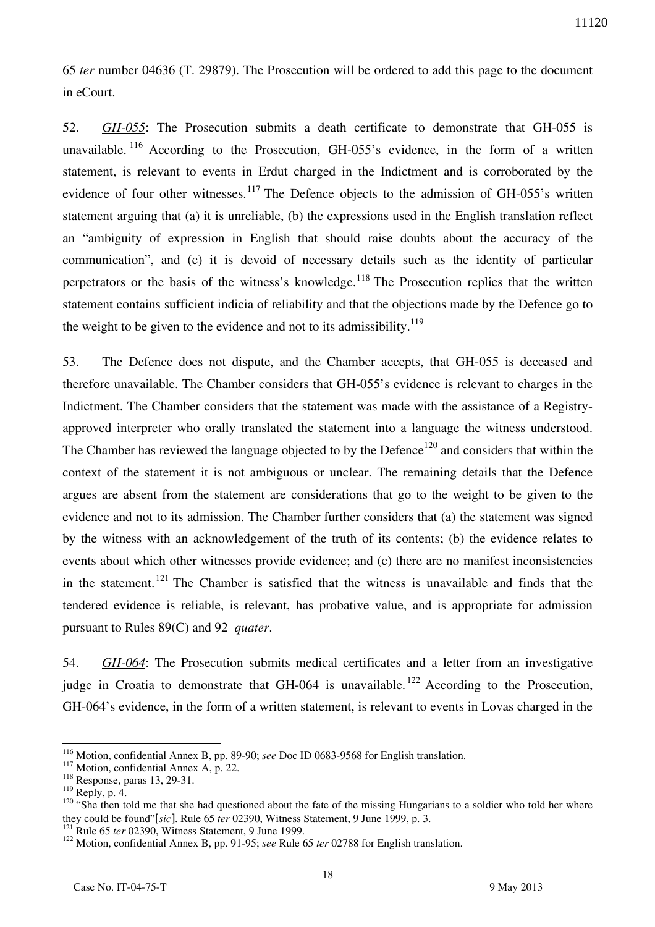65 *ter* number 04636 (T. 29879). The Prosecution will be ordered to add this page to the document in eCourt.

52. *GH-055*: The Prosecution submits a death certificate to demonstrate that GH-055 is unavailable.  $116$  According to the Prosecution, GH-055's evidence, in the form of a written statement, is relevant to events in Erdut charged in the Indictment and is corroborated by the evidence of four other witnesses.<sup>117</sup> The Defence objects to the admission of GH-055's written statement arguing that (a) it is unreliable, (b) the expressions used in the English translation reflect an "ambiguity of expression in English that should raise doubts about the accuracy of the communication", and (c) it is devoid of necessary details such as the identity of particular perpetrators or the basis of the witness's knowledge.<sup>118</sup> The Prosecution replies that the written statement contains sufficient indicia of reliability and that the objections made by the Defence go to the weight to be given to the evidence and not to its admissibility. $119$ 

53. The Defence does not dispute, and the Chamber accepts, that GH-055 is deceased and therefore unavailable. The Chamber considers that GH-055's evidence is relevant to charges in the Indictment. The Chamber considers that the statement was made with the assistance of a Registryapproved interpreter who orally translated the statement into a language the witness understood. The Chamber has reviewed the language objected to by the Defence<sup>120</sup> and considers that within the context of the statement it is not ambiguous or unclear. The remaining details that the Defence argues are absent from the statement are considerations that go to the weight to be given to the evidence and not to its admission. The Chamber further considers that (a) the statement was signed by the witness with an acknowledgement of the truth of its contents; (b) the evidence relates to events about which other witnesses provide evidence; and (c) there are no manifest inconsistencies in the statement.<sup>121</sup> The Chamber is satisfied that the witness is unavailable and finds that the tendered evidence is reliable, is relevant, has probative value, and is appropriate for admission pursuant to Rules 89(C) and 92 *quater*.

54. *GH-064*: The Prosecution submits medical certificates and a letter from an investigative judge in Croatia to demonstrate that GH-064 is unavailable.<sup>122</sup> According to the Prosecution, GH-064's evidence, in the form of a written statement, is relevant to events in Lovas charged in the

<sup>116</sup> Motion, confidential Annex B, pp. 89-90; *see* Doc ID 0683-9568 for English translation.

<sup>&</sup>lt;sup>117</sup> Motion, confidential Annex A, p. 22.

<sup>118</sup> Response, paras 13, 29-31.

 $119$  Reply, p. 4.

 $120$  "She then told me that she had questioned about the fate of the missing Hungarians to a soldier who told her where they could be found"[*sic*]. Rule 65 *ter* 02390, Witness Statement, 9 June 1999, p. 3.

<sup>&</sup>lt;sup>121</sup> Rule 65 *ter* 02390, Witness Statement, 9 June 1999.

<sup>122</sup> Motion, confidential Annex B, pp. 91-95; *see* Rule 65 *ter* 02788 for English translation.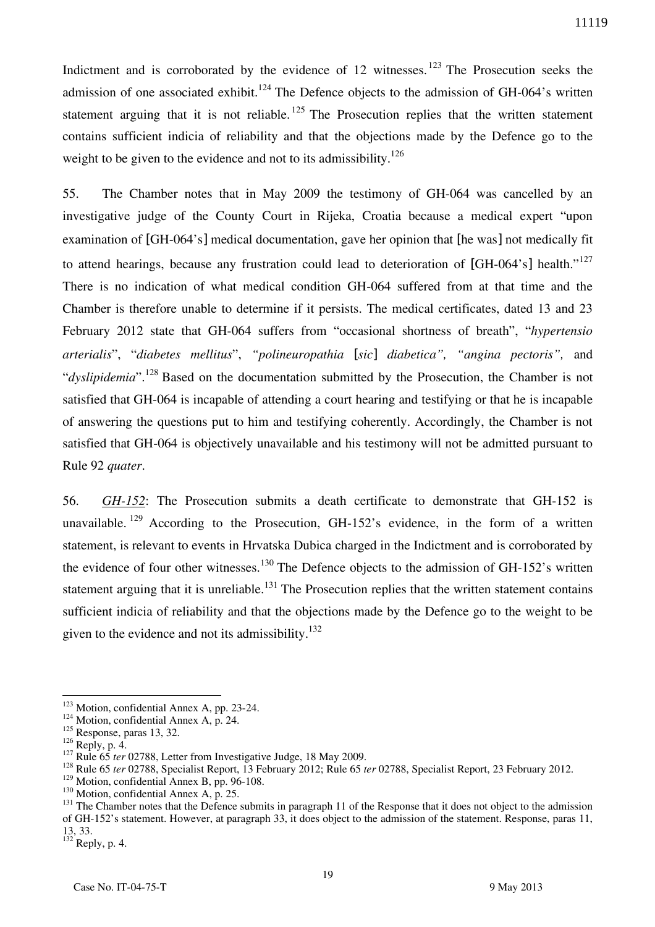Indictment and is corroborated by the evidence of 12 witnesses.<sup>123</sup> The Prosecution seeks the admission of one associated exhibit.<sup>124</sup> The Defence objects to the admission of GH-064's written statement arguing that it is not reliable.  $125$  The Prosecution replies that the written statement contains sufficient indicia of reliability and that the objections made by the Defence go to the weight to be given to the evidence and not to its admissibility.<sup>126</sup>

55. The Chamber notes that in May 2009 the testimony of GH-064 was cancelled by an investigative judge of the County Court in Rijeka, Croatia because a medical expert "upon examination of [GH-064's] medical documentation, gave her opinion that [he was] not medically fit to attend hearings, because any frustration could lead to deterioration of [GH-064's] health."<sup>127</sup> There is no indication of what medical condition GH-064 suffered from at that time and the Chamber is therefore unable to determine if it persists. The medical certificates, dated 13 and 23 February 2012 state that GH-064 suffers from "occasional shortness of breath", "*hypertensio arterialis*", "*diabetes mellitus*", *"polineuropathia* [*sic*] *diabetica", "angina pectoris",* and "*dyslipidemia*".<sup>128</sup> Based on the documentation submitted by the Prosecution, the Chamber is not satisfied that GH-064 is incapable of attending a court hearing and testifying or that he is incapable of answering the questions put to him and testifying coherently. Accordingly, the Chamber is not satisfied that GH-064 is objectively unavailable and his testimony will not be admitted pursuant to Rule 92 *quater*.

56. *GH-152*: The Prosecution submits a death certificate to demonstrate that GH-152 is unavailable. <sup>129</sup> According to the Prosecution, GH-152's evidence, in the form of a written statement, is relevant to events in Hrvatska Dubica charged in the Indictment and is corroborated by the evidence of four other witnesses.<sup>130</sup> The Defence objects to the admission of GH-152's written statement arguing that it is unreliable.<sup>131</sup> The Prosecution replies that the written statement contains sufficient indicia of reliability and that the objections made by the Defence go to the weight to be given to the evidence and not its admissibility. $132$ 

<sup>&</sup>lt;sup>123</sup> Motion, confidential Annex A, pp. 23-24.

<sup>&</sup>lt;sup>124</sup> Motion, confidential Annex A, p. 24.

<sup>&</sup>lt;sup>125</sup> Response, paras 13, 32.

 $126$  Reply, p. 4.

<sup>&</sup>lt;sup>127</sup> Rule 65 *ter* 02788, Letter from Investigative Judge, 18 May 2009.

<sup>128</sup> Rule 65 *ter* 02788, Specialist Report, 13 February 2012; Rule 65 *ter* 02788, Specialist Report, 23 February 2012.

<sup>&</sup>lt;sup>129</sup> Motion, confidential Annex B, pp. 96-108.

<sup>&</sup>lt;sup>130</sup> Motion, confidential Annex A, p. 25.

<sup>&</sup>lt;sup>131</sup> The Chamber notes that the Defence submits in paragraph 11 of the Response that it does not object to the admission of GH-152's statement. However, at paragraph 33, it does object to the admission of the statement. Response, paras 11, 13, 33.

 $^{132}$  Reply, p. 4.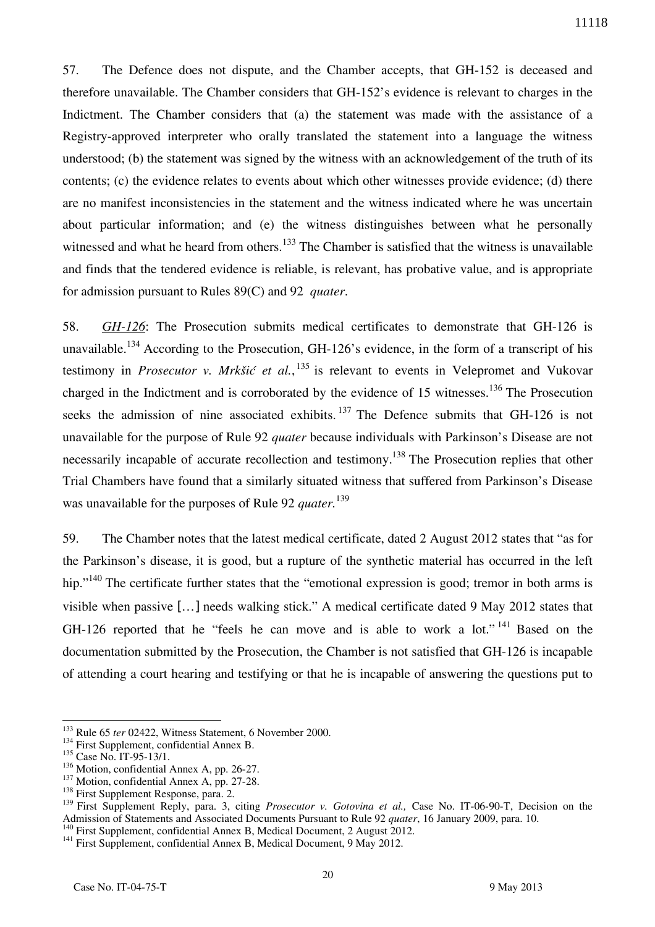57. The Defence does not dispute, and the Chamber accepts, that GH-152 is deceased and therefore unavailable. The Chamber considers that GH-152's evidence is relevant to charges in the Indictment. The Chamber considers that (a) the statement was made with the assistance of a Registry-approved interpreter who orally translated the statement into a language the witness understood; (b) the statement was signed by the witness with an acknowledgement of the truth of its contents; (c) the evidence relates to events about which other witnesses provide evidence; (d) there are no manifest inconsistencies in the statement and the witness indicated where he was uncertain about particular information; and (e) the witness distinguishes between what he personally witnessed and what he heard from others.<sup>133</sup> The Chamber is satisfied that the witness is unavailable and finds that the tendered evidence is reliable, is relevant, has probative value, and is appropriate for admission pursuant to Rules 89(C) and 92 *quater*.

58. *GH-126*: The Prosecution submits medical certificates to demonstrate that GH-126 is unavailable.<sup>134</sup> According to the Prosecution, GH-126's evidence, in the form of a transcript of his testimony in *Prosecutor v. Mrkšić et al.*, <sup>135</sup> is relevant to events in Velepromet and Vukovar charged in the Indictment and is corroborated by the evidence of 15 witnesses.<sup>136</sup> The Prosecution seeks the admission of nine associated exhibits.  $137$  The Defence submits that GH-126 is not unavailable for the purpose of Rule 92 *quater* because individuals with Parkinson's Disease are not necessarily incapable of accurate recollection and testimony.<sup>138</sup> The Prosecution replies that other Trial Chambers have found that a similarly situated witness that suffered from Parkinson's Disease was unavailable for the purposes of Rule 92 *quater.*<sup>139</sup>

59. The Chamber notes that the latest medical certificate, dated 2 August 2012 states that "as for the Parkinson's disease, it is good, but a rupture of the synthetic material has occurred in the left hip."<sup>140</sup> The certificate further states that the "emotional expression is good; tremor in both arms is visible when passive […] needs walking stick." A medical certificate dated 9 May 2012 states that GH-126 reported that he "feels he can move and is able to work a lot."<sup>141</sup> Based on the documentation submitted by the Prosecution, the Chamber is not satisfied that GH-126 is incapable of attending a court hearing and testifying or that he is incapable of answering the questions put to

<sup>&</sup>lt;sup>133</sup> Rule 65 *ter* 02422, Witness Statement, 6 November 2000.

<sup>&</sup>lt;sup>134</sup> First Supplement, confidential Annex B.

<sup>&</sup>lt;sup>135</sup> Case No. IT-95-13/1.

<sup>136</sup> Motion, confidential Annex A, pp. 26-27.

<sup>&</sup>lt;sup>137</sup> Motion, confidential Annex A, pp. 27-28.

<sup>&</sup>lt;sup>138</sup> First Supplement Response, para. 2.

<sup>&</sup>lt;sup>139</sup> First Supplement Reply, para. 3, citing *Prosecutor v. Gotovina et al.*, Case No. IT-06-90-T, Decision on the Admission of Statements and Associated Documents Pursuant to Rule 92 *quater*, 16 January 2009, para. 10.

<sup>&</sup>lt;sup>140</sup> First Supplement, confidential Annex B, Medical Document, 2 August 2012.

<sup>&</sup>lt;sup>141</sup> First Supplement, confidential Annex B, Medical Document, 9 May 2012.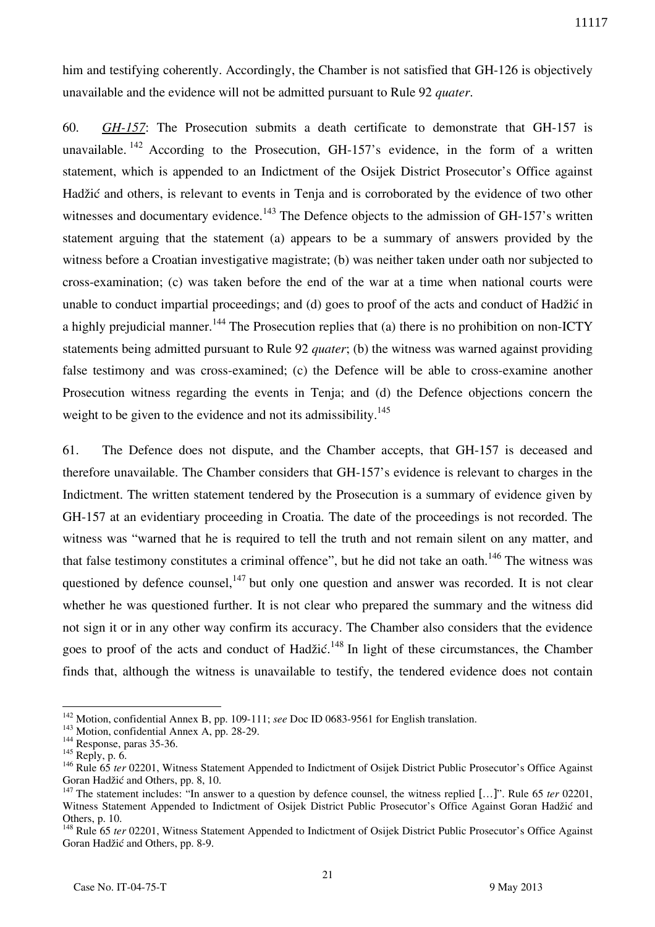him and testifying coherently. Accordingly, the Chamber is not satisfied that GH-126 is objectively unavailable and the evidence will not be admitted pursuant to Rule 92 *quater*.

60. *GH-157*: The Prosecution submits a death certificate to demonstrate that GH-157 is unavailable.  $142$  According to the Prosecution, GH-157's evidence, in the form of a written statement, which is appended to an Indictment of the Osijek District Prosecutor's Office against Hadžić and others, is relevant to events in Tenja and is corroborated by the evidence of two other witnesses and documentary evidence.<sup>143</sup> The Defence objects to the admission of GH-157's written statement arguing that the statement (a) appears to be a summary of answers provided by the witness before a Croatian investigative magistrate; (b) was neither taken under oath nor subjected to cross-examination; (c) was taken before the end of the war at a time when national courts were unable to conduct impartial proceedings; and (d) goes to proof of the acts and conduct of Hadžić in a highly prejudicial manner.<sup>144</sup> The Prosecution replies that (a) there is no prohibition on non-ICTY statements being admitted pursuant to Rule 92 *quater*; (b) the witness was warned against providing false testimony and was cross-examined; (c) the Defence will be able to cross-examine another Prosecution witness regarding the events in Tenja; and (d) the Defence objections concern the weight to be given to the evidence and not its admissibility.<sup>145</sup>

61. The Defence does not dispute, and the Chamber accepts, that GH-157 is deceased and therefore unavailable. The Chamber considers that GH-157's evidence is relevant to charges in the Indictment. The written statement tendered by the Prosecution is a summary of evidence given by GH-157 at an evidentiary proceeding in Croatia. The date of the proceedings is not recorded. The witness was "warned that he is required to tell the truth and not remain silent on any matter, and that false testimony constitutes a criminal offence", but he did not take an oath.<sup>146</sup> The witness was questioned by defence counsel,  $147$  but only one question and answer was recorded. It is not clear whether he was questioned further. It is not clear who prepared the summary and the witness did not sign it or in any other way confirm its accuracy. The Chamber also considers that the evidence goes to proof of the acts and conduct of Hadžić.<sup>148</sup> In light of these circumstances, the Chamber finds that, although the witness is unavailable to testify, the tendered evidence does not contain

 $\overline{a}$ <sup>142</sup> Motion, confidential Annex B, pp. 109-111; *see* Doc ID 0683-9561 for English translation.

<sup>143</sup> Motion, confidential Annex A, pp. 28-29.

<sup>&</sup>lt;sup>144</sup> Response, paras 35-36.

<sup>&</sup>lt;sup>145</sup> Reply, p. 6.

<sup>&</sup>lt;sup>146</sup> Rule 65 *ter* 02201, Witness Statement Appended to Indictment of Osijek District Public Prosecutor's Office Against Goran Hadžić and Others, pp. 8, 10.

<sup>&</sup>lt;sup>147</sup> The statement includes: "In answer to a question by defence counsel, the witness replied [...]". Rule 65 *ter* 02201, Witness Statement Appended to Indictment of Osijek District Public Prosecutor's Office Against Goran Hadžić and Others, p. 10.

<sup>&</sup>lt;sup>148</sup> Rule 65 *ter* 02201, Witness Statement Appended to Indictment of Osijek District Public Prosecutor's Office Against Goran Hadžić and Others, pp. 8-9.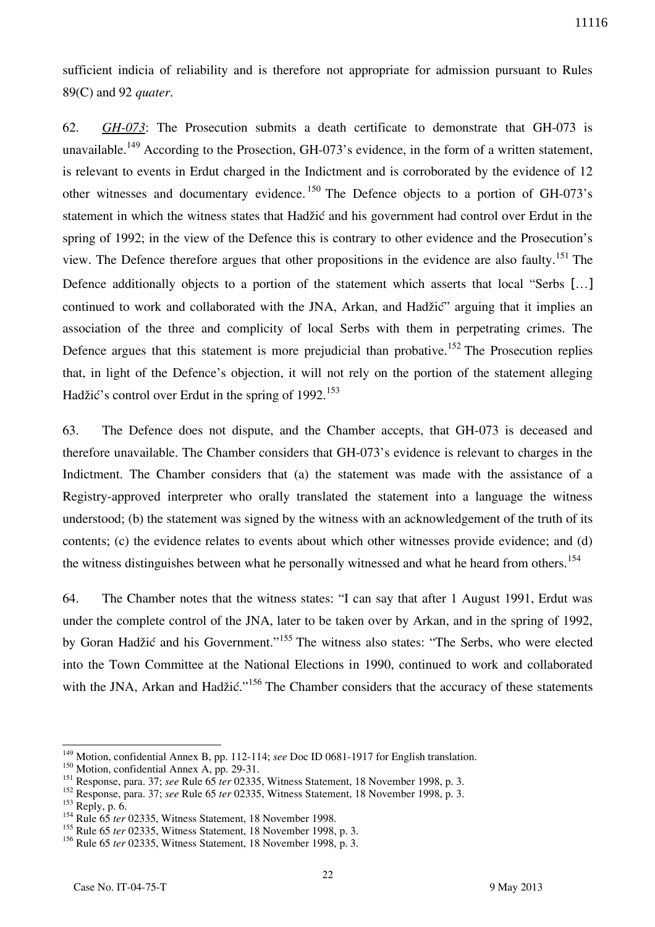sufficient indicia of reliability and is therefore not appropriate for admission pursuant to Rules 89(C) and 92 *quater*.

62. *GH-073*: The Prosecution submits a death certificate to demonstrate that GH-073 is unavailable.<sup>149</sup> According to the Prosection, GH-073's evidence, in the form of a written statement, is relevant to events in Erdut charged in the Indictment and is corroborated by the evidence of 12 other witnesses and documentary evidence. <sup>150</sup> The Defence objects to a portion of GH-073's statement in which the witness states that Hadžić and his government had control over Erdut in the spring of 1992; in the view of the Defence this is contrary to other evidence and the Prosecution's view. The Defence therefore argues that other propositions in the evidence are also faulty.<sup>151</sup> The Defence additionally objects to a portion of the statement which asserts that local "Serbs [...] continued to work and collaborated with the JNA, Arkan, and Hadžić" arguing that it implies an association of the three and complicity of local Serbs with them in perpetrating crimes. The Defence argues that this statement is more prejudicial than probative.<sup>152</sup> The Prosecution replies that, in light of the Defence's objection, it will not rely on the portion of the statement alleging Hadžić's control over Erdut in the spring of 1992.<sup>153</sup>

63. The Defence does not dispute, and the Chamber accepts, that GH-073 is deceased and therefore unavailable. The Chamber considers that GH-073's evidence is relevant to charges in the Indictment. The Chamber considers that (a) the statement was made with the assistance of a Registry-approved interpreter who orally translated the statement into a language the witness understood; (b) the statement was signed by the witness with an acknowledgement of the truth of its contents; (c) the evidence relates to events about which other witnesses provide evidence; and (d) the witness distinguishes between what he personally witnessed and what he heard from others.<sup>154</sup>

64. The Chamber notes that the witness states: "I can say that after 1 August 1991, Erdut was under the complete control of the JNA, later to be taken over by Arkan, and in the spring of 1992, by Goran Hadžić and his Government."<sup>155</sup> The witness also states: "The Serbs, who were elected into the Town Committee at the National Elections in 1990, continued to work and collaborated with the JNA, Arkan and Hadžić."<sup>156</sup> The Chamber considers that the accuracy of these statements

<sup>149</sup> Motion, confidential Annex B, pp. 112-114; *see* Doc ID 0681-1917 for English translation.

<sup>150</sup> Motion, confidential Annex A, pp. 29-31.

<sup>151</sup> Response, para. 37; *see* Rule 65 *ter* 02335, Witness Statement, 18 November 1998, p. 3.

<sup>152</sup> Response, para. 37; *see* Rule 65 *ter* 02335, Witness Statement, 18 November 1998, p. 3.

 $153$  Reply, p. 6.

<sup>&</sup>lt;sup>154</sup> Rule 65 *ter* 02335, Witness Statement, 18 November 1998.

<sup>155</sup> Rule 65 *ter* 02335, Witness Statement, 18 November 1998, p. 3.

<sup>156</sup> Rule 65 *ter* 02335, Witness Statement, 18 November 1998, p. 3.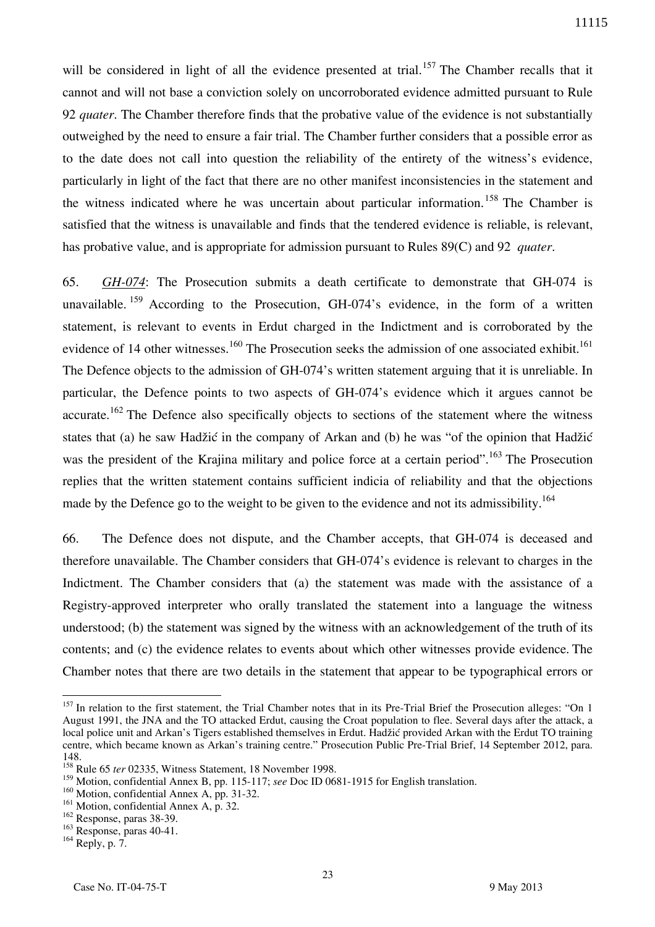will be considered in light of all the evidence presented at trial.<sup>157</sup> The Chamber recalls that it cannot and will not base a conviction solely on uncorroborated evidence admitted pursuant to Rule 92 *quater*. The Chamber therefore finds that the probative value of the evidence is not substantially outweighed by the need to ensure a fair trial. The Chamber further considers that a possible error as to the date does not call into question the reliability of the entirety of the witness's evidence, particularly in light of the fact that there are no other manifest inconsistencies in the statement and the witness indicated where he was uncertain about particular information.<sup>158</sup> The Chamber is satisfied that the witness is unavailable and finds that the tendered evidence is reliable, is relevant, has probative value, and is appropriate for admission pursuant to Rules 89(C) and 92 *quater*.

65. *GH-074*: The Prosecution submits a death certificate to demonstrate that GH-074 is unavailable.  $159$  According to the Prosecution, GH-074's evidence, in the form of a written statement, is relevant to events in Erdut charged in the Indictment and is corroborated by the evidence of 14 other witnesses.<sup>160</sup> The Prosecution seeks the admission of one associated exhibit.<sup>161</sup> The Defence objects to the admission of GH-074's written statement arguing that it is unreliable. In particular, the Defence points to two aspects of GH-074's evidence which it argues cannot be accurate.<sup>162</sup> The Defence also specifically objects to sections of the statement where the witness states that (a) he saw Hadžić in the company of Arkan and (b) he was "of the opinion that Hadžić was the president of the Krajina military and police force at a certain period".<sup>163</sup> The Prosecution replies that the written statement contains sufficient indicia of reliability and that the objections made by the Defence go to the weight to be given to the evidence and not its admissibility.<sup>164</sup>

66. The Defence does not dispute, and the Chamber accepts, that GH-074 is deceased and therefore unavailable. The Chamber considers that GH-074's evidence is relevant to charges in the Indictment. The Chamber considers that (a) the statement was made with the assistance of a Registry-approved interpreter who orally translated the statement into a language the witness understood; (b) the statement was signed by the witness with an acknowledgement of the truth of its contents; and (c) the evidence relates to events about which other witnesses provide evidence. The Chamber notes that there are two details in the statement that appear to be typographical errors or

 $157$  In relation to the first statement, the Trial Chamber notes that in its Pre-Trial Brief the Prosecution alleges: "On 1 August 1991, the JNA and the TO attacked Erdut, causing the Croat population to flee. Several days after the attack, a local police unit and Arkan's Tigers established themselves in Erdut. Hadžić provided Arkan with the Erdut TO training centre, which became known as Arkan's training centre." Prosecution Public Pre-Trial Brief, 14 September 2012, para. 148.

<sup>&</sup>lt;sup>158</sup> Rule 65 *ter* 02335, Witness Statement, 18 November 1998.

<sup>159</sup> Motion, confidential Annex B, pp. 115-117; *see* Doc ID 0681-1915 for English translation.

<sup>&</sup>lt;sup>160</sup> Motion, confidential Annex A, pp. 31-32.

<sup>&</sup>lt;sup>161</sup> Motion, confidential Annex A, p. 32.

<sup>162</sup> Response, paras 38-39.

<sup>163</sup> Response, paras 40-41.

<sup>164</sup> Reply, p. 7.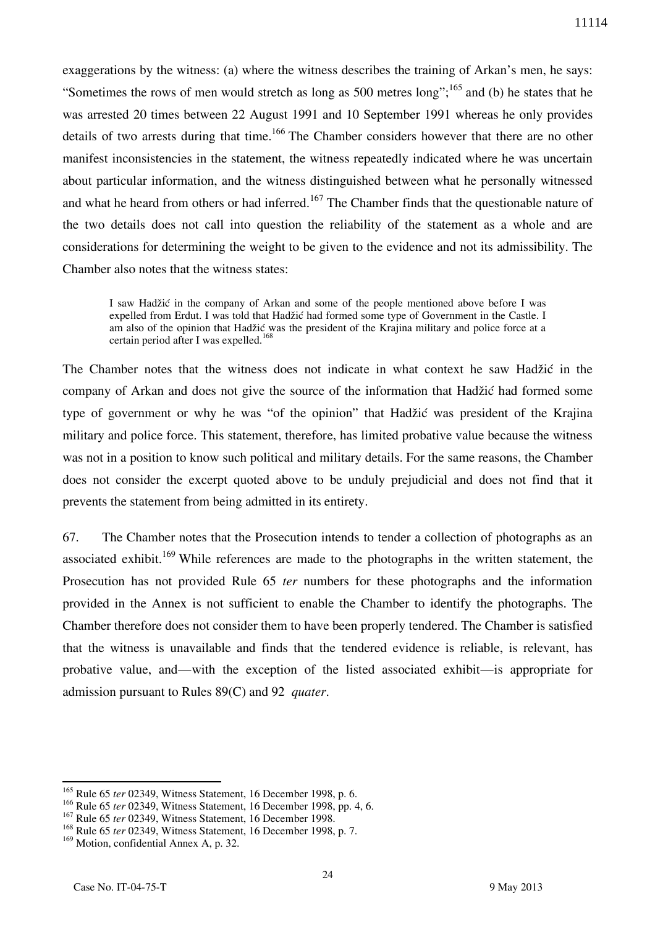exaggerations by the witness: (a) where the witness describes the training of Arkan's men, he says: "Sometimes the rows of men would stretch as long as 500 metres long";  $^{165}$  and (b) he states that he was arrested 20 times between 22 August 1991 and 10 September 1991 whereas he only provides details of two arrests during that time.<sup>166</sup> The Chamber considers however that there are no other manifest inconsistencies in the statement, the witness repeatedly indicated where he was uncertain about particular information, and the witness distinguished between what he personally witnessed and what he heard from others or had inferred.<sup>167</sup> The Chamber finds that the questionable nature of the two details does not call into question the reliability of the statement as a whole and are considerations for determining the weight to be given to the evidence and not its admissibility. The Chamber also notes that the witness states:

I saw Hadžić in the company of Arkan and some of the people mentioned above before I was expelled from Erdut. I was told that Hadžić had formed some type of Government in the Castle. I am also of the opinion that Hadžić was the president of the Krajina military and police force at a certain period after I was expelled.<sup>168</sup>

The Chamber notes that the witness does not indicate in what context he saw Hadžić in the company of Arkan and does not give the source of the information that Hadžić had formed some type of government or why he was "of the opinion" that Hadžić was president of the Krajina military and police force. This statement, therefore, has limited probative value because the witness was not in a position to know such political and military details. For the same reasons, the Chamber does not consider the excerpt quoted above to be unduly prejudicial and does not find that it prevents the statement from being admitted in its entirety.

67. The Chamber notes that the Prosecution intends to tender a collection of photographs as an associated exhibit.<sup>169</sup> While references are made to the photographs in the written statement, the Prosecution has not provided Rule 65 *ter* numbers for these photographs and the information provided in the Annex is not sufficient to enable the Chamber to identify the photographs. The Chamber therefore does not consider them to have been properly tendered. The Chamber is satisfied that the witness is unavailable and finds that the tendered evidence is reliable, is relevant, has probative value, and—with the exception of the listed associated exhibit—is appropriate for admission pursuant to Rules 89(C) and 92 *quater*.

<sup>165</sup> Rule 65 *ter* 02349, Witness Statement, 16 December 1998, p. 6.

<sup>166</sup> Rule 65 *ter* 02349, Witness Statement, 16 December 1998, pp. 4, 6.

<sup>167</sup> Rule 65 *ter* 02349, Witness Statement, 16 December 1998.

<sup>168</sup> Rule 65 *ter* 02349, Witness Statement, 16 December 1998, p. 7.

<sup>&</sup>lt;sup>169</sup> Motion, confidential Annex A, p. 32.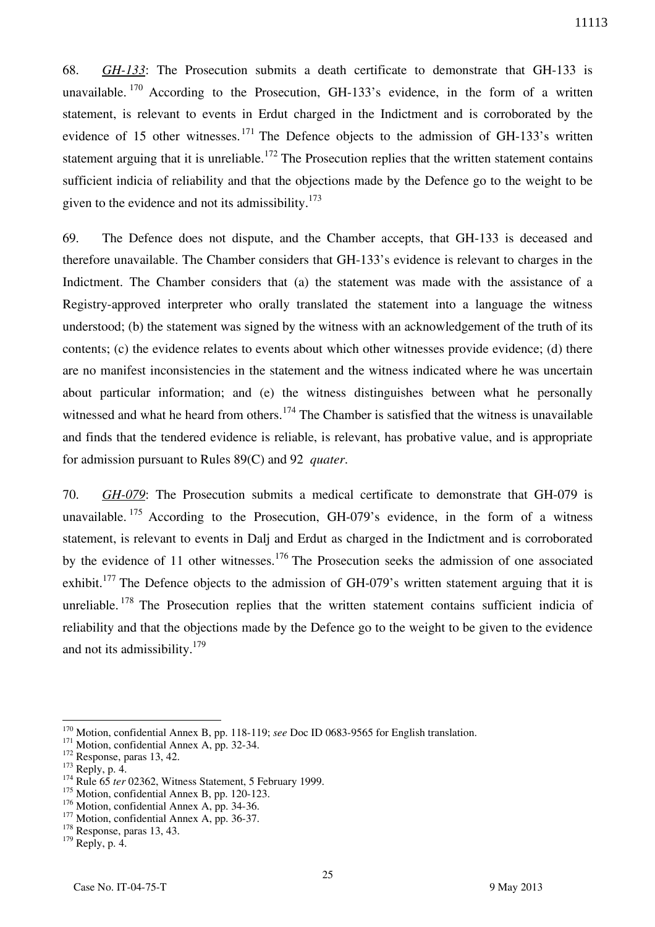68. *GH-133*: The Prosecution submits a death certificate to demonstrate that GH-133 is unavailable.  $170$  According to the Prosecution, GH-133's evidence, in the form of a written statement, is relevant to events in Erdut charged in the Indictment and is corroborated by the evidence of 15 other witnesses.  $^{171}$  The Defence objects to the admission of GH-133's written statement arguing that it is unreliable.<sup>172</sup> The Prosecution replies that the written statement contains sufficient indicia of reliability and that the objections made by the Defence go to the weight to be given to the evidence and not its admissibility.<sup>173</sup>

69. The Defence does not dispute, and the Chamber accepts, that GH-133 is deceased and therefore unavailable. The Chamber considers that GH-133's evidence is relevant to charges in the Indictment. The Chamber considers that (a) the statement was made with the assistance of a Registry-approved interpreter who orally translated the statement into a language the witness understood; (b) the statement was signed by the witness with an acknowledgement of the truth of its contents; (c) the evidence relates to events about which other witnesses provide evidence; (d) there are no manifest inconsistencies in the statement and the witness indicated where he was uncertain about particular information; and (e) the witness distinguishes between what he personally witnessed and what he heard from others.<sup>174</sup> The Chamber is satisfied that the witness is unavailable and finds that the tendered evidence is reliable, is relevant, has probative value, and is appropriate for admission pursuant to Rules 89(C) and 92 *quater*.

70. *GH-079*: The Prosecution submits a medical certificate to demonstrate that GH-079 is unavailable.  $175$  According to the Prosecution, GH-079's evidence, in the form of a witness statement, is relevant to events in Dalj and Erdut as charged in the Indictment and is corroborated by the evidence of 11 other witnesses.<sup>176</sup> The Prosecution seeks the admission of one associated exhibit.<sup>177</sup> The Defence objects to the admission of GH-079's written statement arguing that it is unreliable.  $178$  The Prosecution replies that the written statement contains sufficient indicia of reliability and that the objections made by the Defence go to the weight to be given to the evidence and not its admissibility. $179$ 

<sup>170</sup> Motion, confidential Annex B, pp. 118-119; *see* Doc ID 0683-9565 for English translation.

<sup>&</sup>lt;sup>171</sup> Motion, confidential Annex A, pp. 32-34.

<sup>&</sup>lt;sup>172</sup> Response, paras 13, 42.

 $173$  Reply, p. 4.

<sup>&</sup>lt;sup>174</sup> Rule 65 *ter* 02362, Witness Statement, 5 February 1999.

<sup>&</sup>lt;sup>175</sup> Motion, confidential Annex B, pp. 120-123.

<sup>&</sup>lt;sup>176</sup> Motion, confidential Annex A, pp. 34-36.

<sup>&</sup>lt;sup>177</sup> Motion, confidential Annex A, pp. 36-37.

<sup>&</sup>lt;sup>178</sup> Response, paras 13, 43.

<sup>179</sup> Reply, p. 4.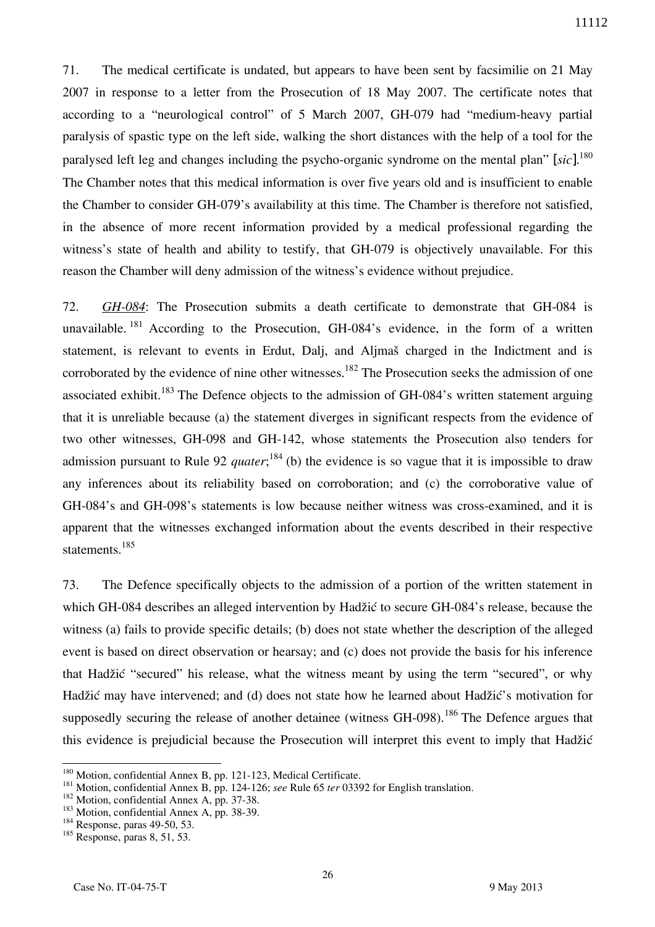71. The medical certificate is undated, but appears to have been sent by facsimilie on 21 May 2007 in response to a letter from the Prosecution of 18 May 2007. The certificate notes that according to a "neurological control" of 5 March 2007, GH-079 had "medium-heavy partial paralysis of spastic type on the left side, walking the short distances with the help of a tool for the paralysed left leg and changes including the psycho-organic syndrome on the mental plan" [*sic*]. 180 The Chamber notes that this medical information is over five years old and is insufficient to enable the Chamber to consider GH-079's availability at this time. The Chamber is therefore not satisfied, in the absence of more recent information provided by a medical professional regarding the witness's state of health and ability to testify, that GH-079 is objectively unavailable. For this reason the Chamber will deny admission of the witness's evidence without prejudice.

72. *GH-084*: The Prosecution submits a death certificate to demonstrate that GH-084 is unavailable.  $^{181}$  According to the Prosecution, GH-084's evidence, in the form of a written statement, is relevant to events in Erdut, Dalj, and Aljmaš charged in the Indictment and is corroborated by the evidence of nine other witnesses.<sup>182</sup> The Prosecution seeks the admission of one associated exhibit.<sup>183</sup> The Defence objects to the admission of GH-084's written statement arguing that it is unreliable because (a) the statement diverges in significant respects from the evidence of two other witnesses, GH-098 and GH-142, whose statements the Prosecution also tenders for admission pursuant to Rule 92 *quater*;<sup>184</sup> (b) the evidence is so vague that it is impossible to draw any inferences about its reliability based on corroboration; and (c) the corroborative value of GH-084's and GH-098's statements is low because neither witness was cross-examined, and it is apparent that the witnesses exchanged information about the events described in their respective statements.<sup>185</sup>

73. The Defence specifically objects to the admission of a portion of the written statement in which GH-084 describes an alleged intervention by Hadžić to secure GH-084's release, because the witness (a) fails to provide specific details; (b) does not state whether the description of the alleged event is based on direct observation or hearsay; and (c) does not provide the basis for his inference that Hadžić "secured" his release, what the witness meant by using the term "secured", or why Hadžić may have intervened; and (d) does not state how he learned about Hadžić's motivation for supposedly securing the release of another detainee (witness  $GH-098$ ).<sup>186</sup> The Defence argues that this evidence is prejudicial because the Prosecution will interpret this event to imply that Hadžić

<sup>&</sup>lt;sup>180</sup> Motion, confidential Annex B, pp. 121-123, Medical Certificate.

<sup>181</sup> Motion, confidential Annex B, pp. 124-126; *see* Rule 65 *ter* 03392 for English translation.

<sup>&</sup>lt;sup>182</sup> Motion, confidential Annex A, pp. 37-38.

<sup>&</sup>lt;sup>183</sup> Motion, confidential Annex A, pp. 38-39.

<sup>&</sup>lt;sup>184</sup> Response, paras 49-50, 53.

 $185$  Response, paras 8, 51, 53.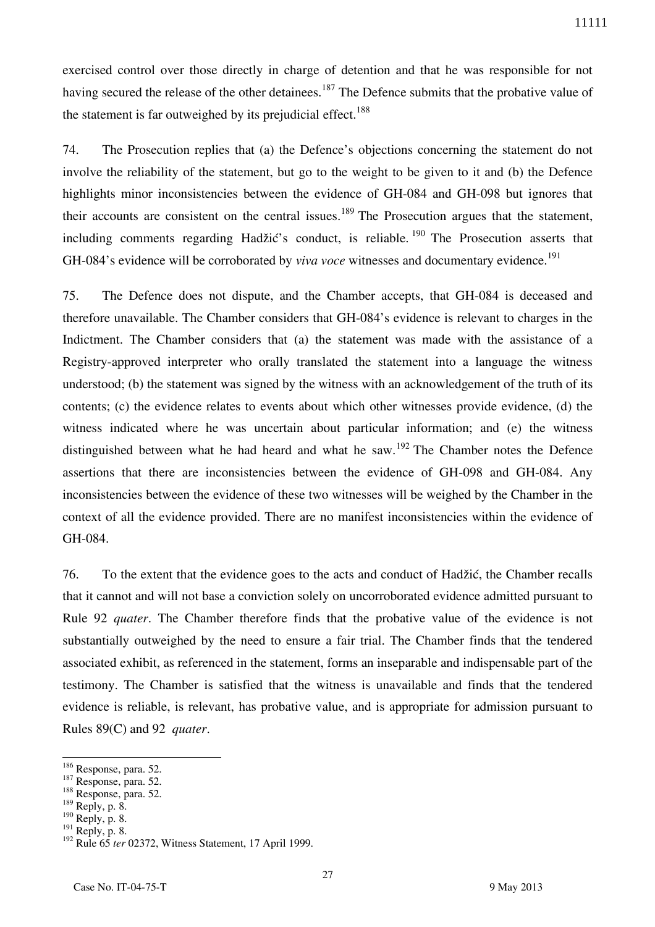exercised control over those directly in charge of detention and that he was responsible for not having secured the release of the other detainees.<sup>187</sup> The Defence submits that the probative value of the statement is far outweighed by its prejudicial effect.<sup>188</sup>

74. The Prosecution replies that (a) the Defence's objections concerning the statement do not involve the reliability of the statement, but go to the weight to be given to it and (b) the Defence highlights minor inconsistencies between the evidence of GH-084 and GH-098 but ignores that their accounts are consistent on the central issues.<sup>189</sup> The Prosecution argues that the statement, including comments regarding Hadžić's conduct, is reliable. <sup>190</sup> The Prosecution asserts that GH-084's evidence will be corroborated by *viva voce* witnesses and documentary evidence.<sup>191</sup>

75. The Defence does not dispute, and the Chamber accepts, that GH-084 is deceased and therefore unavailable. The Chamber considers that GH-084's evidence is relevant to charges in the Indictment. The Chamber considers that (a) the statement was made with the assistance of a Registry-approved interpreter who orally translated the statement into a language the witness understood; (b) the statement was signed by the witness with an acknowledgement of the truth of its contents; (c) the evidence relates to events about which other witnesses provide evidence, (d) the witness indicated where he was uncertain about particular information; and (e) the witness distinguished between what he had heard and what he saw.<sup>192</sup> The Chamber notes the Defence assertions that there are inconsistencies between the evidence of GH-098 and GH-084. Any inconsistencies between the evidence of these two witnesses will be weighed by the Chamber in the context of all the evidence provided. There are no manifest inconsistencies within the evidence of GH-084.

76. To the extent that the evidence goes to the acts and conduct of Hadžić, the Chamber recalls that it cannot and will not base a conviction solely on uncorroborated evidence admitted pursuant to Rule 92 *quater*. The Chamber therefore finds that the probative value of the evidence is not substantially outweighed by the need to ensure a fair trial. The Chamber finds that the tendered associated exhibit, as referenced in the statement, forms an inseparable and indispensable part of the testimony. The Chamber is satisfied that the witness is unavailable and finds that the tendered evidence is reliable, is relevant, has probative value, and is appropriate for admission pursuant to Rules 89(C) and 92 *quater*.

<sup>&</sup>lt;sup>186</sup> Response, para. 52.

<sup>187</sup> Response, para. 52.

<sup>188</sup> Response, para. 52.

<sup>189</sup> Reply, p. 8.

 $190$  Reply, p. 8.

 $191$  Reply, p. 8.

<sup>&</sup>lt;sup>192</sup> Rule 65 *ter* 02372, Witness Statement, 17 April 1999.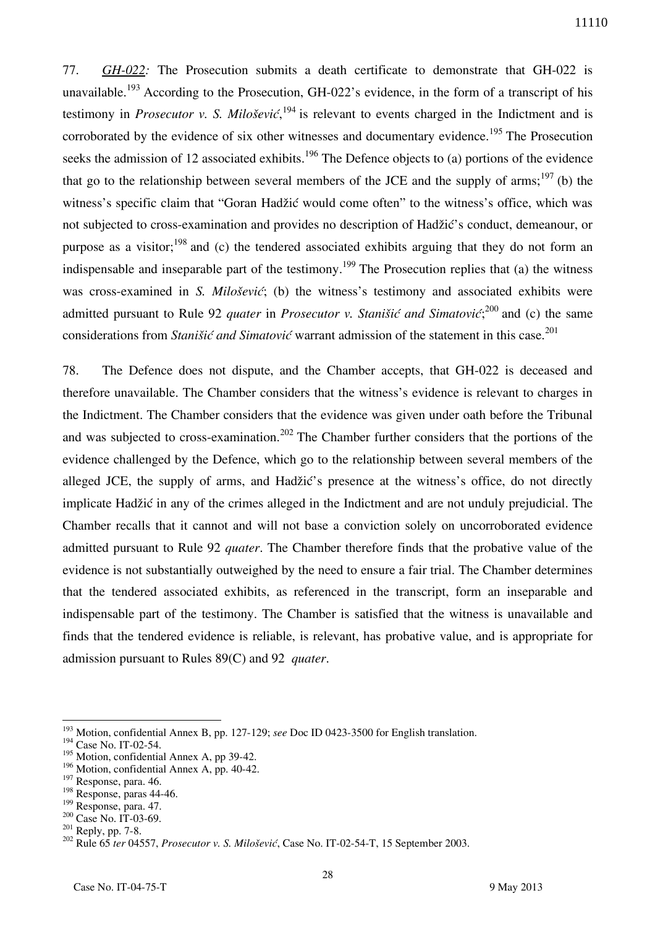77. *GH-022:* The Prosecution submits a death certificate to demonstrate that GH-022 is unavailable.<sup>193</sup> According to the Prosecution, GH-022's evidence, in the form of a transcript of his testimony in *Prosecutor v. S. Milošević*, <sup>194</sup> is relevant to events charged in the Indictment and is corroborated by the evidence of six other witnesses and documentary evidence.<sup>195</sup> The Prosecution seeks the admission of 12 associated exhibits.<sup>196</sup> The Defence objects to (a) portions of the evidence that go to the relationship between several members of the JCE and the supply of arms;<sup>197</sup> (b) the witness's specific claim that "Goran Hadžić would come often" to the witness's office, which was not subjected to cross-examination and provides no description of Hadžić's conduct, demeanour, or purpose as a visitor; $^{198}$  and (c) the tendered associated exhibits arguing that they do not form an indispensable and inseparable part of the testimony.<sup>199</sup> The Prosecution replies that (a) the witness was cross-examined in *S. Milošević*; (b) the witness's testimony and associated exhibits were admitted pursuant to Rule 92 *quater* in *Prosecutor v. Stanišić and Simatović*;<sup>200</sup> and (c) the same considerations from *Stanišić and Simatović* warrant admission of the statement in this case.<sup>201</sup>

78. The Defence does not dispute, and the Chamber accepts, that GH-022 is deceased and therefore unavailable. The Chamber considers that the witness's evidence is relevant to charges in the Indictment. The Chamber considers that the evidence was given under oath before the Tribunal and was subjected to cross-examination.<sup>202</sup> The Chamber further considers that the portions of the evidence challenged by the Defence, which go to the relationship between several members of the alleged JCE, the supply of arms, and Hadžić's presence at the witness's office, do not directly implicate Hadžić in any of the crimes alleged in the Indictment and are not unduly prejudicial. The Chamber recalls that it cannot and will not base a conviction solely on uncorroborated evidence admitted pursuant to Rule 92 *quater*. The Chamber therefore finds that the probative value of the evidence is not substantially outweighed by the need to ensure a fair trial. The Chamber determines that the tendered associated exhibits, as referenced in the transcript, form an inseparable and indispensable part of the testimony. The Chamber is satisfied that the witness is unavailable and finds that the tendered evidence is reliable, is relevant, has probative value, and is appropriate for admission pursuant to Rules 89(C) and 92 *quater*.

<sup>193</sup> Motion, confidential Annex B, pp. 127-129; *see* Doc ID 0423-3500 for English translation.

<sup>&</sup>lt;sup>194</sup> Case No. IT-02-54.

<sup>&</sup>lt;sup>195</sup> Motion, confidential Annex A, pp 39-42.

<sup>&</sup>lt;sup>196</sup> Motion, confidential Annex A, pp. 40-42.

<sup>&</sup>lt;sup>197</sup> Response, para. 46.

<sup>198</sup> Response, paras 44-46.

<sup>199</sup> Response, para. 47.

<sup>&</sup>lt;sup>200</sup> Case No. IT-03-69.

<sup>&</sup>lt;sup>201</sup> Reply, pp. 7-8.

<sup>202</sup> Rule 65 *ter* 04557, *Prosecutor v. S. Milošević*, Case No. IT-02-54-T, 15 September 2003.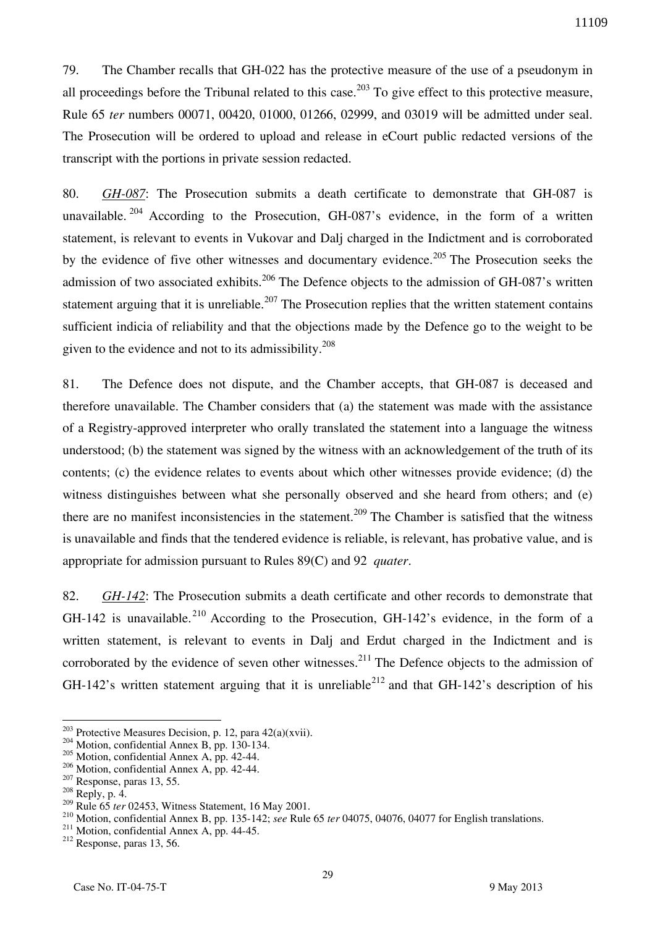79. The Chamber recalls that GH-022 has the protective measure of the use of a pseudonym in all proceedings before the Tribunal related to this case.<sup>203</sup> To give effect to this protective measure, Rule 65 *ter* numbers 00071, 00420, 01000, 01266, 02999, and 03019 will be admitted under seal. The Prosecution will be ordered to upload and release in eCourt public redacted versions of the transcript with the portions in private session redacted.

80. *GH-087*: The Prosecution submits a death certificate to demonstrate that GH-087 is unavailable.  $204$  According to the Prosecution, GH-087's evidence, in the form of a written statement, is relevant to events in Vukovar and Dalj charged in the Indictment and is corroborated by the evidence of five other witnesses and documentary evidence.<sup>205</sup> The Prosecution seeks the admission of two associated exhibits.<sup>206</sup> The Defence objects to the admission of GH-087's written statement arguing that it is unreliable.<sup>207</sup> The Prosecution replies that the written statement contains sufficient indicia of reliability and that the objections made by the Defence go to the weight to be given to the evidence and not to its admissibility.<sup>208</sup>

81. The Defence does not dispute, and the Chamber accepts, that GH-087 is deceased and therefore unavailable. The Chamber considers that (a) the statement was made with the assistance of a Registry-approved interpreter who orally translated the statement into a language the witness understood; (b) the statement was signed by the witness with an acknowledgement of the truth of its contents; (c) the evidence relates to events about which other witnesses provide evidence; (d) the witness distinguishes between what she personally observed and she heard from others; and (e) there are no manifest inconsistencies in the statement.<sup>209</sup> The Chamber is satisfied that the witness is unavailable and finds that the tendered evidence is reliable, is relevant, has probative value, and is appropriate for admission pursuant to Rules 89(C) and 92 *quater*.

82. *GH-142*: The Prosecution submits a death certificate and other records to demonstrate that GH-142 is unavailable.<sup>210</sup> According to the Prosecution, GH-142's evidence, in the form of a written statement, is relevant to events in Dalj and Erdut charged in the Indictment and is corroborated by the evidence of seven other witnesses.<sup>211</sup> The Defence objects to the admission of GH-142's written statement arguing that it is unreliable<sup>212</sup> and that GH-142's description of his

<sup>&</sup>lt;sup>203</sup> Protective Measures Decision, p. 12, para  $42(a)(xvi)$ .

<sup>&</sup>lt;sup>204</sup> Motion, confidential Annex B, pp. 130-134.

<sup>205</sup> Motion, confidential Annex A, pp. 42-44.

<sup>206</sup> Motion, confidential Annex A, pp. 42-44.

 $207$  Response, paras 13, 55.

 $208$  Reply, p. 4.

<sup>&</sup>lt;sup>209</sup> Rule 65 *ter* 02453, Witness Statement, 16 May 2001.

<sup>210</sup> Motion, confidential Annex B, pp. 135-142; *see* Rule 65 *ter* 04075, 04076, 04077 for English translations.

<sup>&</sup>lt;sup>211</sup> Motion, confidential Annex A, pp. 44-45.

<sup>212</sup> Response, paras 13, 56.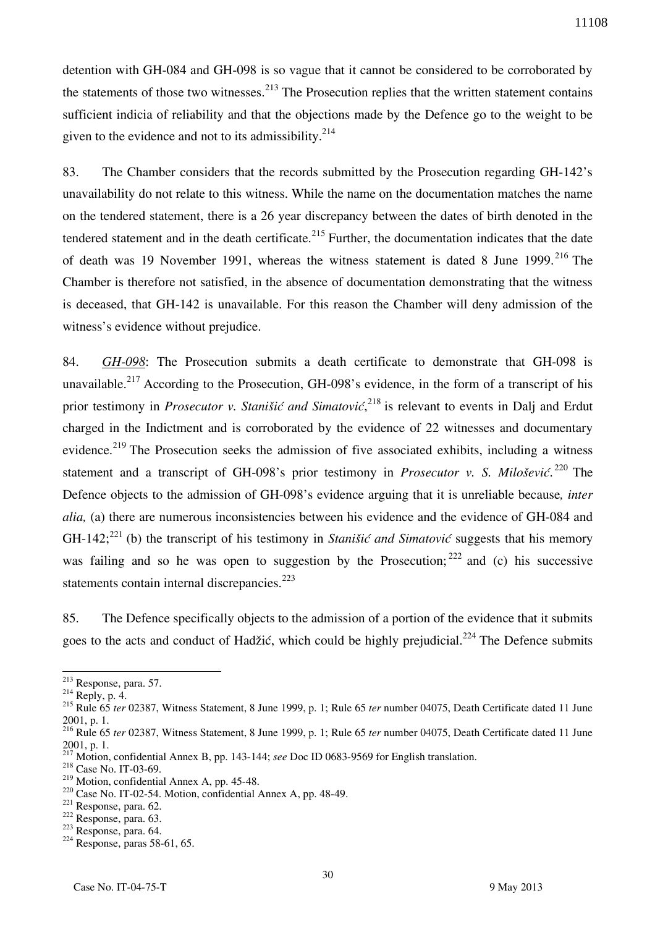detention with GH-084 and GH-098 is so vague that it cannot be considered to be corroborated by the statements of those two witnesses.<sup>213</sup> The Prosecution replies that the written statement contains sufficient indicia of reliability and that the objections made by the Defence go to the weight to be given to the evidence and not to its admissibility. $2^{14}$ 

83. The Chamber considers that the records submitted by the Prosecution regarding GH-142's unavailability do not relate to this witness. While the name on the documentation matches the name on the tendered statement, there is a 26 year discrepancy between the dates of birth denoted in the tendered statement and in the death certificate.<sup>215</sup> Further, the documentation indicates that the date of death was 19 November 1991, whereas the witness statement is dated 8 June 1999.<sup>216</sup> The Chamber is therefore not satisfied, in the absence of documentation demonstrating that the witness is deceased, that GH-142 is unavailable. For this reason the Chamber will deny admission of the witness's evidence without prejudice.

84. *GH-098*: The Prosecution submits a death certificate to demonstrate that GH-098 is unavailable.<sup>217</sup> According to the Prosecution, GH-098's evidence, in the form of a transcript of his prior testimony in *Prosecutor v. Stanišić and Simatović*, <sup>218</sup> is relevant to events in Dalj and Erdut charged in the Indictment and is corroborated by the evidence of 22 witnesses and documentary evidence.<sup>219</sup> The Prosecution seeks the admission of five associated exhibits, including a witness statement and a transcript of GH-098's prior testimony in *Prosecutor v. S. Milošević*. <sup>220</sup> The Defence objects to the admission of GH-098's evidence arguing that it is unreliable because*, inter alia*, (a) there are numerous inconsistencies between his evidence and the evidence of GH-084 and GH-142;<sup>221</sup> (b) the transcript of his testimony in *Stanišić and Simatović* suggests that his memory was failing and so he was open to suggestion by the Prosecution;  $222$  and (c) his successive statements contain internal discrepancies.<sup>223</sup>

85. The Defence specifically objects to the admission of a portion of the evidence that it submits goes to the acts and conduct of Hadžić, which could be highly prejudicial.<sup>224</sup> The Defence submits

 $213$  Response, para. 57.

 $^{214}$  Reply, p. 4.

<sup>215</sup> Rule 65 *ter* 02387, Witness Statement, 8 June 1999, p. 1; Rule 65 *ter* number 04075, Death Certificate dated 11 June 2001, p. 1.

<sup>216</sup> Rule 65 *ter* 02387, Witness Statement, 8 June 1999, p. 1; Rule 65 *ter* number 04075, Death Certificate dated 11 June 2001, p. 1.

<sup>217</sup> Motion, confidential Annex B, pp. 143-144; *see* Doc ID 0683-9569 for English translation.

<sup>218</sup> Case No. IT-03-69.

 $219$  Motion, confidential Annex A, pp. 45-48.

<sup>220</sup> Case No. IT-02-54. Motion, confidential Annex A, pp. 48-49.

<sup>221</sup> Response, para. 62.

<sup>222</sup> Response, para. 63.

<sup>223</sup> Response, para. 64.

 $224$  Response, paras 58-61, 65.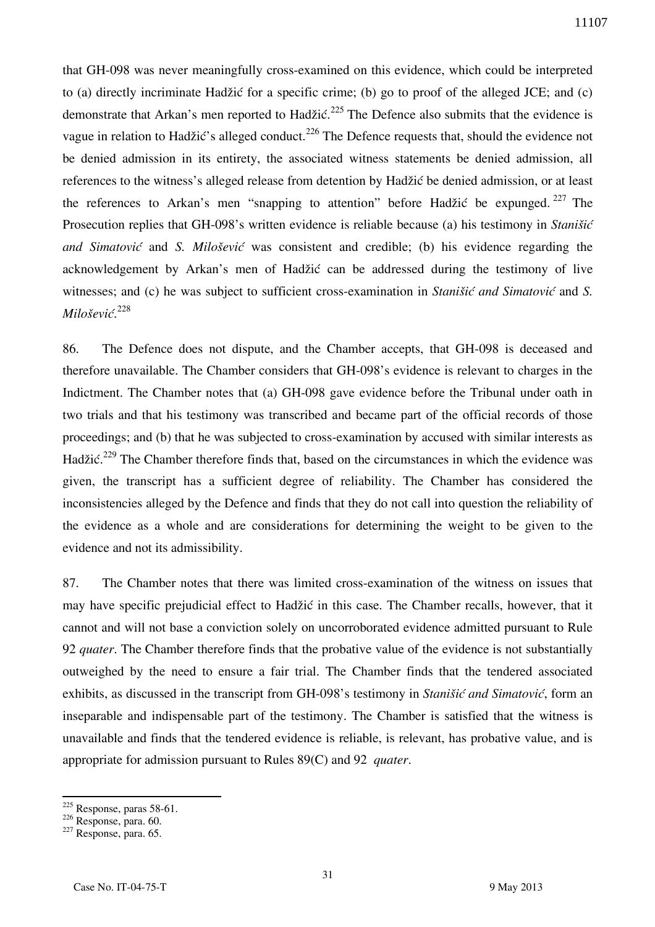that GH-098 was never meaningfully cross-examined on this evidence, which could be interpreted to (a) directly incriminate Hadžić for a specific crime; (b) go to proof of the alleged JCE; and (c) demonstrate that Arkan's men reported to Hadžić.<sup>225</sup> The Defence also submits that the evidence is vague in relation to Hadžić's alleged conduct.<sup>226</sup> The Defence requests that, should the evidence not be denied admission in its entirety, the associated witness statements be denied admission, all references to the witness's alleged release from detention by Hadžić be denied admission, or at least the references to Arkan's men "snapping to attention" before Hadžić be expunged. <sup>227</sup> The Prosecution replies that GH-098's written evidence is reliable because (a) his testimony in *Stanišić and Simatović* and *S. Milošević* was consistent and credible; (b) his evidence regarding the acknowledgement by Arkan's men of Hadžić can be addressed during the testimony of live witnesses; and (c) he was subject to sufficient cross-examination in *Stanišić and Simatović* and *S. Milošević*. 228

86. The Defence does not dispute, and the Chamber accepts, that GH-098 is deceased and therefore unavailable. The Chamber considers that GH-098's evidence is relevant to charges in the Indictment. The Chamber notes that (a) GH-098 gave evidence before the Tribunal under oath in two trials and that his testimony was transcribed and became part of the official records of those proceedings; and (b) that he was subjected to cross-examination by accused with similar interests as Hadžić.<sup>229</sup> The Chamber therefore finds that, based on the circumstances in which the evidence was given, the transcript has a sufficient degree of reliability. The Chamber has considered the inconsistencies alleged by the Defence and finds that they do not call into question the reliability of the evidence as a whole and are considerations for determining the weight to be given to the evidence and not its admissibility.

87. The Chamber notes that there was limited cross-examination of the witness on issues that may have specific prejudicial effect to Hadžić in this case. The Chamber recalls, however, that it cannot and will not base a conviction solely on uncorroborated evidence admitted pursuant to Rule 92 *quater*. The Chamber therefore finds that the probative value of the evidence is not substantially outweighed by the need to ensure a fair trial. The Chamber finds that the tendered associated exhibits, as discussed in the transcript from GH-098's testimony in *Stanišić and Simatović*, form an inseparable and indispensable part of the testimony. The Chamber is satisfied that the witness is unavailable and finds that the tendered evidence is reliable, is relevant, has probative value, and is appropriate for admission pursuant to Rules 89(C) and 92 *quater*.

 $225$  Response, paras 58-61.

 $226$  Response, para. 60.

 $227$  Response, para. 65.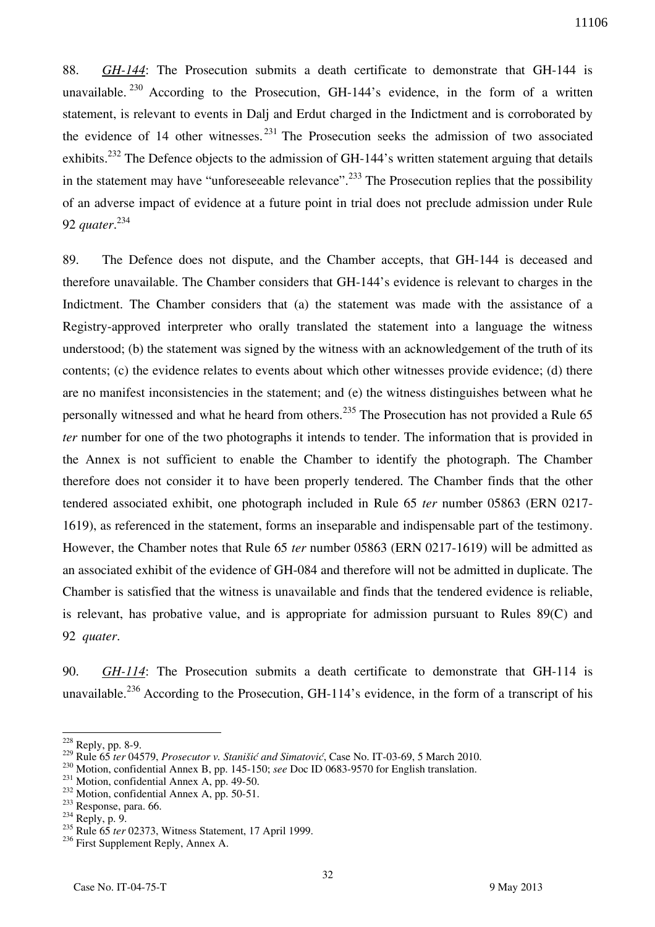88. *GH-144*: The Prosecution submits a death certificate to demonstrate that GH-144 is unavailable.  $230$  According to the Prosecution, GH-144's evidence, in the form of a written statement, is relevant to events in Dalj and Erdut charged in the Indictment and is corroborated by the evidence of 14 other witnesses.  $231$  The Prosecution seeks the admission of two associated exhibits.<sup>232</sup> The Defence objects to the admission of GH-144's written statement arguing that details in the statement may have "unforeseeable relevance".<sup>233</sup> The Prosecution replies that the possibility of an adverse impact of evidence at a future point in trial does not preclude admission under Rule 92 *quater*. 234

89. The Defence does not dispute, and the Chamber accepts, that GH-144 is deceased and therefore unavailable. The Chamber considers that GH-144's evidence is relevant to charges in the Indictment. The Chamber considers that (a) the statement was made with the assistance of a Registry-approved interpreter who orally translated the statement into a language the witness understood; (b) the statement was signed by the witness with an acknowledgement of the truth of its contents; (c) the evidence relates to events about which other witnesses provide evidence; (d) there are no manifest inconsistencies in the statement; and (e) the witness distinguishes between what he personally witnessed and what he heard from others.<sup>235</sup> The Prosecution has not provided a Rule 65 *ter* number for one of the two photographs it intends to tender. The information that is provided in the Annex is not sufficient to enable the Chamber to identify the photograph. The Chamber therefore does not consider it to have been properly tendered. The Chamber finds that the other tendered associated exhibit, one photograph included in Rule 65 *ter* number 05863 (ERN 0217- 1619), as referenced in the statement, forms an inseparable and indispensable part of the testimony. However, the Chamber notes that Rule 65 *ter* number 05863 (ERN 0217-1619) will be admitted as an associated exhibit of the evidence of GH-084 and therefore will not be admitted in duplicate. The Chamber is satisfied that the witness is unavailable and finds that the tendered evidence is reliable, is relevant, has probative value, and is appropriate for admission pursuant to Rules 89(C) and 92 *quater*.

90. *GH-114*: The Prosecution submits a death certificate to demonstrate that GH-114 is unavailable.<sup>236</sup> According to the Prosecution, GH-114's evidence, in the form of a transcript of his

<sup>228</sup> Reply, pp. 8-9.

<sup>229</sup> Rule 65 *ter* 04579, *Prosecutor v. Stanišić and Simatović*, Case No. IT-03-69, 5 March 2010.

<sup>230</sup> Motion, confidential Annex B, pp. 145-150; *see* Doc ID 0683-9570 for English translation.

<sup>&</sup>lt;sup>231</sup> Motion, confidential Annex A, pp. 49-50.

<sup>&</sup>lt;sup>232</sup> Motion, confidential Annex A, pp. 50-51.

<sup>233</sup> Response, para. 66.

 $234$  Reply, p. 9.

<sup>&</sup>lt;sup>235</sup> Rule 65 *ter* 02373, Witness Statement, 17 April 1999.

<sup>&</sup>lt;sup>236</sup> First Supplement Reply, Annex A.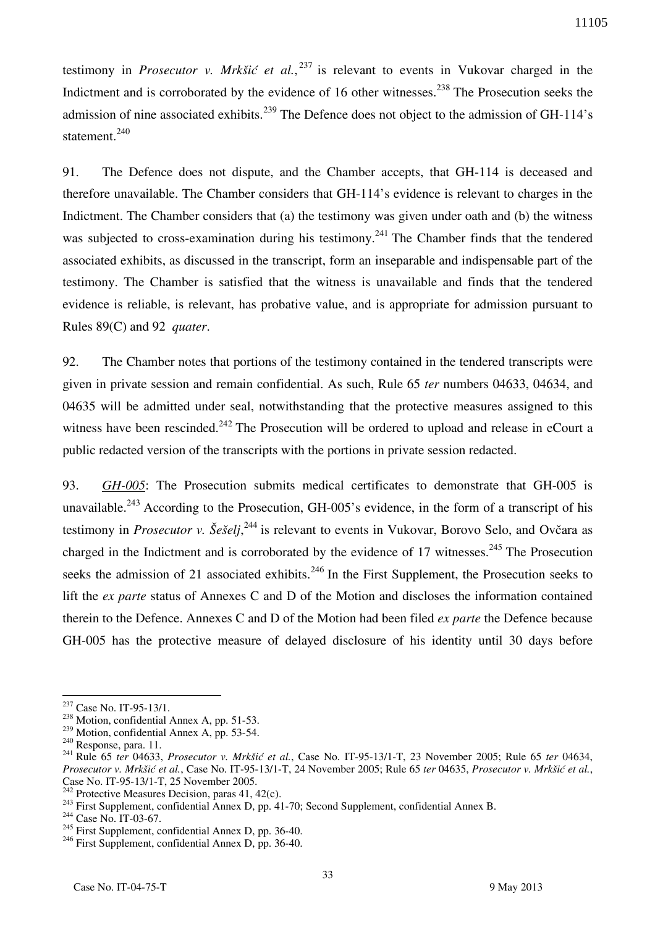testimony in *Prosecutor v. Mrkšić et al.*, <sup>237</sup> is relevant to events in Vukovar charged in the Indictment and is corroborated by the evidence of 16 other witnesses.<sup>238</sup> The Prosecution seeks the admission of nine associated exhibits.<sup>239</sup> The Defence does not object to the admission of GH-114's statement.<sup>240</sup>

91. The Defence does not dispute, and the Chamber accepts, that GH-114 is deceased and therefore unavailable. The Chamber considers that GH-114's evidence is relevant to charges in the Indictment. The Chamber considers that (a) the testimony was given under oath and (b) the witness was subjected to cross-examination during his testimony.<sup>241</sup> The Chamber finds that the tendered associated exhibits, as discussed in the transcript, form an inseparable and indispensable part of the testimony. The Chamber is satisfied that the witness is unavailable and finds that the tendered evidence is reliable, is relevant, has probative value, and is appropriate for admission pursuant to Rules 89(C) and 92 *quater*.

92. The Chamber notes that portions of the testimony contained in the tendered transcripts were given in private session and remain confidential. As such, Rule 65 *ter* numbers 04633, 04634, and 04635 will be admitted under seal, notwithstanding that the protective measures assigned to this witness have been rescinded.<sup>242</sup> The Prosecution will be ordered to upload and release in eCourt a public redacted version of the transcripts with the portions in private session redacted.

93. *GH-005*: The Prosecution submits medical certificates to demonstrate that GH-005 is unavailable.<sup>243</sup> According to the Prosecution, GH-005's evidence, in the form of a transcript of his testimony in *Prosecutor v. Šešelj*, <sup>244</sup> is relevant to events in Vukovar, Borovo Selo, and Ovčara as charged in the Indictment and is corroborated by the evidence of 17 witnesses.<sup>245</sup> The Prosecution seeks the admission of 21 associated exhibits.<sup>246</sup> In the First Supplement, the Prosecution seeks to lift the *ex parte* status of Annexes C and D of the Motion and discloses the information contained therein to the Defence. Annexes C and D of the Motion had been filed *ex parte* the Defence because GH-005 has the protective measure of delayed disclosure of his identity until 30 days before

<sup>&</sup>lt;sup>237</sup> Case No. IT-95-13/1.

<sup>238</sup> Motion, confidential Annex A, pp. 51-53.

<sup>&</sup>lt;sup>239</sup> Motion, confidential Annex A, pp. 53-54.

<sup>240</sup> Response, para. 11.

<sup>241</sup> Rule 65 *ter* 04633, *Prosecutor v. Mrkšić et al.*, Case No. IT-95-13/1-T, 23 November 2005; Rule 65 *ter* 04634, *Prosecutor v. Mrkšić et al.*, Case No. IT-95-13/1-T, 24 November 2005; Rule 65 *ter* 04635, *Prosecutor v. Mrkšić et al.*, Case No. IT-95-13/1-T, 25 November 2005.

<sup>&</sup>lt;sup>242</sup> Protective Measures Decision, paras 41, 42 $(c)$ .

<sup>&</sup>lt;sup>243</sup> First Supplement, confidential Annex D, pp. 41-70; Second Supplement, confidential Annex B.

<sup>&</sup>lt;sup>244</sup> Case No. IT-03-67.

<sup>&</sup>lt;sup>245</sup> First Supplement, confidential Annex D, pp. 36-40.

<sup>&</sup>lt;sup>246</sup> First Supplement, confidential Annex D, pp. 36-40.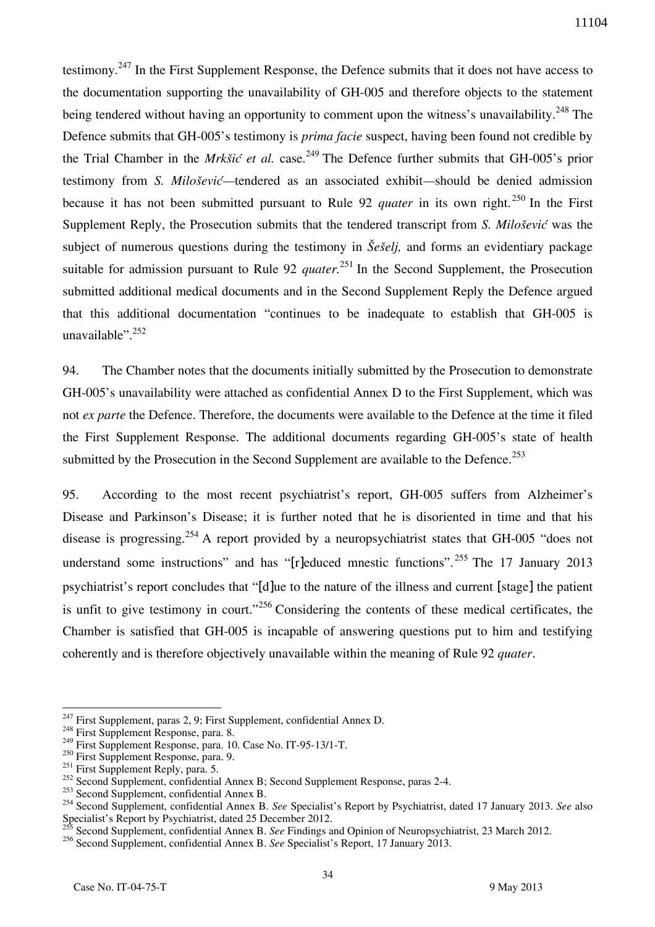testimony.<sup>247</sup> In the First Supplement Response, the Defence submits that it does not have access to the documentation supporting the unavailability of GH-005 and therefore objects to the statement being tendered without having an opportunity to comment upon the witness's unavailability.<sup>248</sup> The Defence submits that GH-005's testimony is *prima facie* suspect, having been found not credible by the Trial Chamber in the *Mrkšić et al.* case. <sup>249</sup> The Defence further submits that GH-005's prior testimony from *S. Milošević—*tendered as an associated exhibit*—*should be denied admission because it has not been submitted pursuant to Rule 92 *quater* in its own right.<sup>250</sup> In the First Supplement Reply, the Prosecution submits that the tendered transcript from *S. Milošević* was the subject of numerous questions during the testimony in *Šešelj,* and forms an evidentiary package suitable for admission pursuant to Rule 92 *quater*<sup>251</sup> In the Second Supplement, the Prosecution submitted additional medical documents and in the Second Supplement Reply the Defence argued that this additional documentation "continues to be inadequate to establish that GH-005 is unavailable".<sup>252</sup>

94. The Chamber notes that the documents initially submitted by the Prosecution to demonstrate GH-005's unavailability were attached as confidential Annex D to the First Supplement, which was not *ex parte* the Defence. Therefore, the documents were available to the Defence at the time it filed the First Supplement Response. The additional documents regarding GH-005's state of health submitted by the Prosecution in the Second Supplement are available to the Defence.<sup>253</sup>

95. According to the most recent psychiatrist's report, GH-005 suffers from Alzheimer's Disease and Parkinson's Disease; it is further noted that he is disoriented in time and that his disease is progressing.<sup>254</sup> A report provided by a neuropsychiatrist states that GH-005 "does not understand some instructions" and has "[r]educed mnestic functions".<sup>255</sup> The 17 January 2013 psychiatrist's report concludes that "[d]ue to the nature of the illness and current [stage] the patient is unfit to give testimony in court."<sup>256</sup> Considering the contents of these medical certificates, the Chamber is satisfied that GH-005 is incapable of answering questions put to him and testifying coherently and is therefore objectively unavailable within the meaning of Rule 92 *quater*.

 $247$  First Supplement, paras 2, 9; First Supplement, confidential Annex D.

<sup>&</sup>lt;sup>248</sup> First Supplement Response, para. 8.

 $2^{249}$  First Supplement Response, para. 10. Case No. IT-95-13/1-T.

<sup>&</sup>lt;sup>250</sup> First Supplement Response, para. 9.

 $251$  First Supplement Reply, para. 5.

<sup>252</sup> Second Supplement, confidential Annex B; Second Supplement Response, paras 2-4.

<sup>&</sup>lt;sup>253</sup> Second Supplement, confidential Annex B.

<sup>254</sup> Second Supplement, confidential Annex B. *See* Specialist's Report by Psychiatrist, dated 17 January 2013. *See* also Specialist's Report by Psychiatrist, dated 25 December 2012.

<sup>255</sup> Second Supplement, confidential Annex B. *See* Findings and Opinion of Neuropsychiatrist, 23 March 2012.

<sup>256</sup> Second Supplement, confidential Annex B. *See* Specialist's Report, 17 January 2013.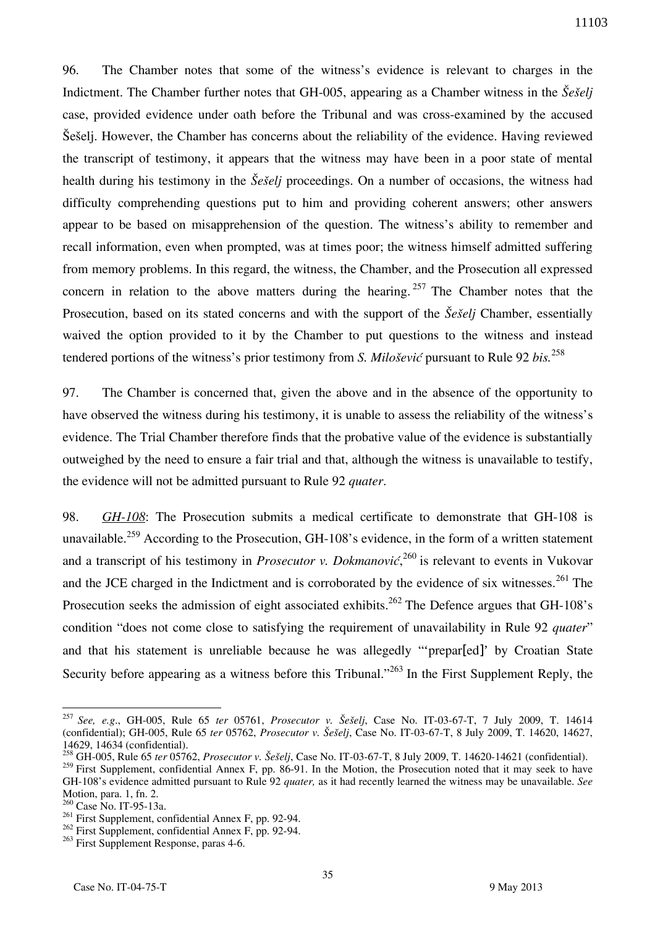96. The Chamber notes that some of the witness's evidence is relevant to charges in the Indictment. The Chamber further notes that GH-005, appearing as a Chamber witness in the *Šešelj*  case, provided evidence under oath before the Tribunal and was cross-examined by the accused Šešelj. However, the Chamber has concerns about the reliability of the evidence. Having reviewed the transcript of testimony, it appears that the witness may have been in a poor state of mental health during his testimony in the *Šešelj* proceedings. On a number of occasions, the witness had difficulty comprehending questions put to him and providing coherent answers; other answers appear to be based on misapprehension of the question. The witness's ability to remember and recall information, even when prompted, was at times poor; the witness himself admitted suffering from memory problems. In this regard, the witness, the Chamber, and the Prosecution all expressed concern in relation to the above matters during the hearing. <sup>257</sup> The Chamber notes that the Prosecution, based on its stated concerns and with the support of the *Šešelj* Chamber, essentially waived the option provided to it by the Chamber to put questions to the witness and instead tendered portions of the witness's prior testimony from *S. Milošević* pursuant to Rule 92 *bis.*<sup>258</sup>

97. The Chamber is concerned that, given the above and in the absence of the opportunity to have observed the witness during his testimony, it is unable to assess the reliability of the witness's evidence. The Trial Chamber therefore finds that the probative value of the evidence is substantially outweighed by the need to ensure a fair trial and that, although the witness is unavailable to testify, the evidence will not be admitted pursuant to Rule 92 *quater*.

98. *GH-108*: The Prosecution submits a medical certificate to demonstrate that GH-108 is unavailable.<sup>259</sup> According to the Prosecution, GH-108's evidence, in the form of a written statement and a transcript of his testimony in *Prosecutor v. Dokmanović*, <sup>260</sup> is relevant to events in Vukovar and the JCE charged in the Indictment and is corroborated by the evidence of six witnesses.<sup>261</sup> The Prosecution seeks the admission of eight associated exhibits.<sup>262</sup> The Defence argues that GH-108's condition "does not come close to satisfying the requirement of unavailability in Rule 92 *quater*" and that his statement is unreliable because he was allegedly "'prepar[ed]' by Croatian State Security before appearing as a witness before this Tribunal."<sup>263</sup> In the First Supplement Reply, the

<sup>257</sup> *See, e.g*., GH-005, Rule 65 *ter* 05761, *Prosecutor v. Šešelj*, Case No. IT-03-67-T, 7 July 2009, T. 14614 (confidential); GH-005, Rule 65 *ter* 05762, *Prosecutor v. Šešelj*, Case No. IT-03-67-T, 8 July 2009, T. 14620, 14627, 14629, 14634 (confidential).

<sup>258</sup> GH-005, Rule 65 *ter* 05762, *Prosecutor v. Šešelj*, Case No. IT-03-67-T, 8 July 2009, T. 14620-14621 (confidential).

<sup>&</sup>lt;sup>259</sup> First Supplement, confidential Annex F, pp. 86-91. In the Motion, the Prosecution noted that it may seek to have GH-108's evidence admitted pursuant to Rule 92 *quater,* as it had recently learned the witness may be unavailable. *See*  Motion, para. 1, fn. 2.

<sup>260</sup> Case No. IT-95-13a.

<sup>&</sup>lt;sup>261</sup> First Supplement, confidential Annex F, pp. 92-94.

<sup>262</sup> First Supplement, confidential Annex F, pp. 92-94.

<sup>&</sup>lt;sup>263</sup> First Supplement Response, paras 4-6.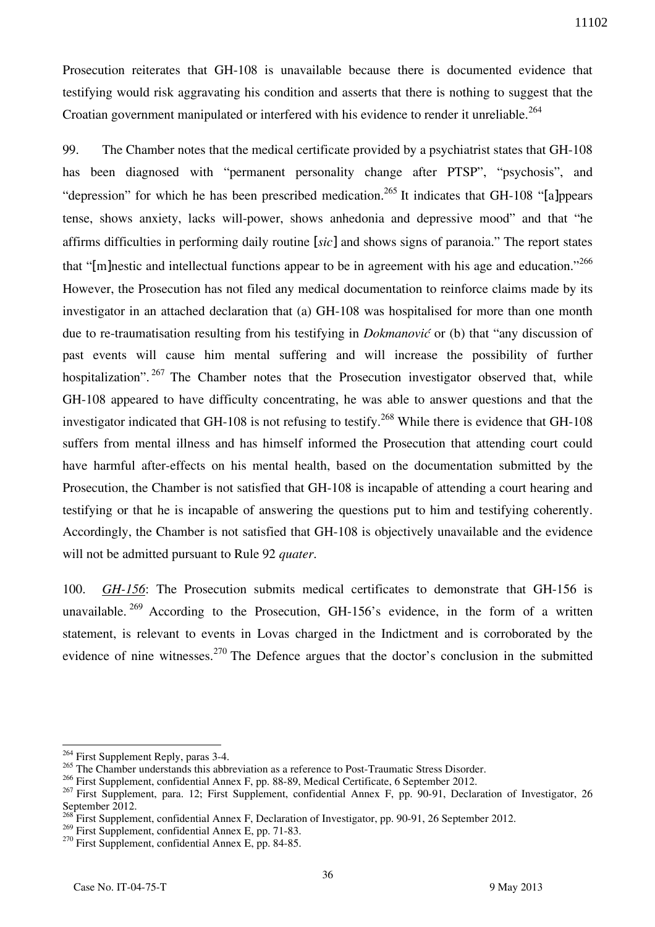Prosecution reiterates that GH-108 is unavailable because there is documented evidence that testifying would risk aggravating his condition and asserts that there is nothing to suggest that the Croatian government manipulated or interfered with his evidence to render it unreliable.<sup>264</sup>

99. The Chamber notes that the medical certificate provided by a psychiatrist states that GH-108 has been diagnosed with "permanent personality change after PTSP", "psychosis", and "depression" for which he has been prescribed medication.<sup>265</sup> It indicates that GH-108 "[a]ppears tense, shows anxiety, lacks will-power, shows anhedonia and depressive mood" and that "he affirms difficulties in performing daily routine [*sic*] and shows signs of paranoia." The report states that "[m]nestic and intellectual functions appear to be in agreement with his age and education."<sup>266</sup> However, the Prosecution has not filed any medical documentation to reinforce claims made by its investigator in an attached declaration that (a) GH-108 was hospitalised for more than one month due to re-traumatisation resulting from his testifying in *Dokmanović* or (b) that "any discussion of past events will cause him mental suffering and will increase the possibility of further hospitalization". <sup>267</sup> The Chamber notes that the Prosecution investigator observed that, while GH-108 appeared to have difficulty concentrating, he was able to answer questions and that the investigator indicated that GH-108 is not refusing to testify.<sup>268</sup> While there is evidence that GH-108 suffers from mental illness and has himself informed the Prosecution that attending court could have harmful after-effects on his mental health, based on the documentation submitted by the Prosecution, the Chamber is not satisfied that GH-108 is incapable of attending a court hearing and testifying or that he is incapable of answering the questions put to him and testifying coherently. Accordingly, the Chamber is not satisfied that GH-108 is objectively unavailable and the evidence will not be admitted pursuant to Rule 92 *quater*.

100. *GH-156*: The Prosecution submits medical certificates to demonstrate that GH-156 is unavailable.  $269$  According to the Prosecution, GH-156's evidence, in the form of a written statement, is relevant to events in Lovas charged in the Indictment and is corroborated by the evidence of nine witnesses.<sup>270</sup> The Defence argues that the doctor's conclusion in the submitted

<sup>&</sup>lt;sup>264</sup> First Supplement Reply, paras 3-4.

<sup>&</sup>lt;sup>265</sup> The Chamber understands this abbreviation as a reference to Post-Traumatic Stress Disorder.

<sup>&</sup>lt;sup>266</sup> First Supplement, confidential Annex F, pp. 88-89, Medical Certificate, 6 September 2012.

<sup>&</sup>lt;sup>267</sup> First Supplement, para. 12; First Supplement, confidential Annex F, pp. 90-91, Declaration of Investigator, 26 September 2012.

<sup>&</sup>lt;sup>1</sup><br>First Supplement, confidential Annex F, Declaration of Investigator, pp. 90-91, 26 September 2012.

<sup>&</sup>lt;sup>269</sup> First Supplement, confidential Annex E, pp. 71-83.

<sup>&</sup>lt;sup>270</sup> First Supplement, confidential Annex E, pp. 84-85.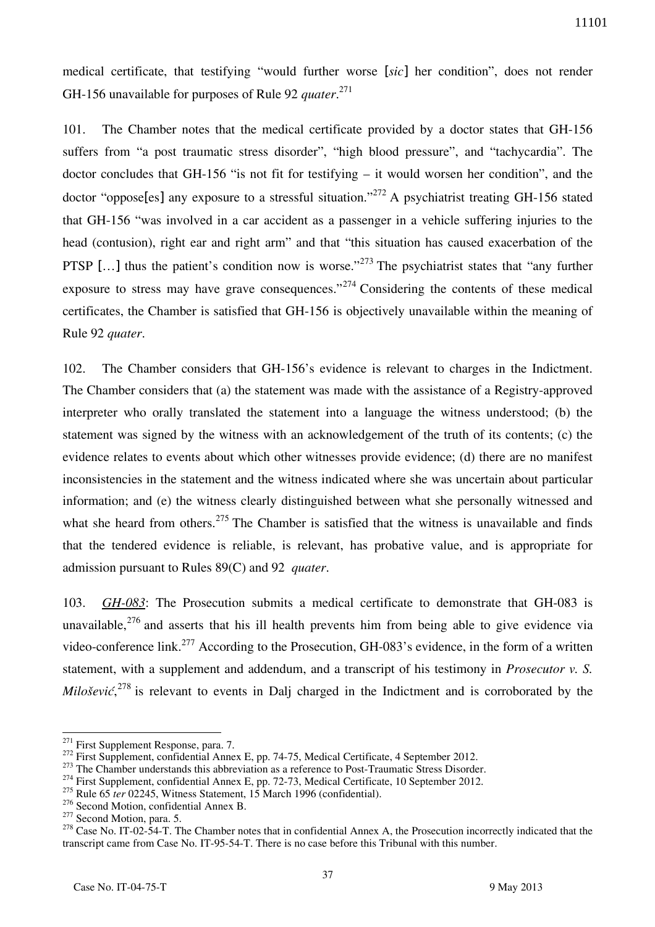medical certificate, that testifying "would further worse [*sic*] her condition", does not render GH-156 unavailable for purposes of Rule 92 *quater*. 271

101. The Chamber notes that the medical certificate provided by a doctor states that GH-156 suffers from "a post traumatic stress disorder", "high blood pressure", and "tachycardia". The doctor concludes that GH-156 "is not fit for testifying – it would worsen her condition", and the doctor "oppose<sup>[es]</sup> any exposure to a stressful situation."<sup>272</sup> A psychiatrist treating GH-156 stated that GH-156 "was involved in a car accident as a passenger in a vehicle suffering injuries to the head (contusion), right ear and right arm" and that "this situation has caused exacerbation of the PTSP [ $\dots$ ] thus the patient's condition now is worse."<sup>273</sup> The psychiatrist states that "any further" exposure to stress may have grave consequences."<sup>274</sup> Considering the contents of these medical certificates, the Chamber is satisfied that GH-156 is objectively unavailable within the meaning of Rule 92 *quater*.

102. The Chamber considers that GH-156's evidence is relevant to charges in the Indictment. The Chamber considers that (a) the statement was made with the assistance of a Registry-approved interpreter who orally translated the statement into a language the witness understood; (b) the statement was signed by the witness with an acknowledgement of the truth of its contents; (c) the evidence relates to events about which other witnesses provide evidence; (d) there are no manifest inconsistencies in the statement and the witness indicated where she was uncertain about particular information; and (e) the witness clearly distinguished between what she personally witnessed and what she heard from others.<sup>275</sup> The Chamber is satisfied that the witness is unavailable and finds that the tendered evidence is reliable, is relevant, has probative value, and is appropriate for admission pursuant to Rules 89(C) and 92 *quater*.

103. *GH-083*: The Prosecution submits a medical certificate to demonstrate that GH-083 is unavailable,  $276$  and asserts that his ill health prevents him from being able to give evidence via video-conference link.<sup>277</sup> According to the Prosecution, GH-083's evidence, in the form of a written statement, with a supplement and addendum, and a transcript of his testimony in *Prosecutor v. S. Milošević*, <sup>278</sup> is relevant to events in Dalj charged in the Indictment and is corroborated by the

<sup>276</sup> Second Motion, confidential Annex B.

<sup>&</sup>lt;sup>271</sup> First Supplement Response, para. 7.

<sup>&</sup>lt;sup>272</sup> First Supplement, confidential Annex E, pp. 74-75, Medical Certificate, 4 September 2012.

<sup>&</sup>lt;sup>273</sup> The Chamber understands this abbreviation as a reference to Post-Traumatic Stress Disorder.

<sup>&</sup>lt;sup>274</sup> First Supplement, confidential Annex E, pp. 72-73, Medical Certificate, 10 September 2012.

<sup>&</sup>lt;sup>275</sup> Rule 65 *ter* 02245, Witness Statement, 15 March 1996 (confidential).

<sup>&</sup>lt;sup>277</sup> Second Motion, para. 5.

<sup>&</sup>lt;sup>278</sup> Case No. IT-02-54-T. The Chamber notes that in confidential Annex A, the Prosecution incorrectly indicated that the transcript came from Case No. IT-95-54-T. There is no case before this Tribunal with this number.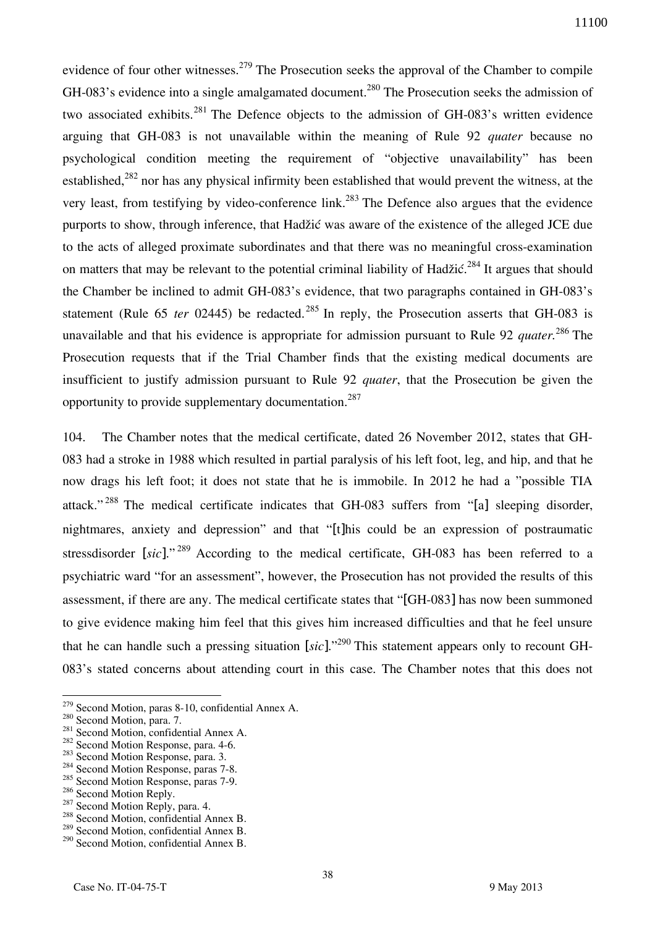evidence of four other witnesses.<sup>279</sup> The Prosecution seeks the approval of the Chamber to compile GH-083's evidence into a single amalgamated document.<sup>280</sup> The Prosecution seeks the admission of two associated exhibits.<sup>281</sup> The Defence objects to the admission of GH-083's written evidence arguing that GH-083 is not unavailable within the meaning of Rule 92 *quater* because no psychological condition meeting the requirement of "objective unavailability" has been established,<sup>282</sup> nor has any physical infirmity been established that would prevent the witness, at the very least, from testifying by video-conference link.<sup>283</sup> The Defence also argues that the evidence purports to show, through inference, that Hadžić was aware of the existence of the alleged JCE due to the acts of alleged proximate subordinates and that there was no meaningful cross-examination on matters that may be relevant to the potential criminal liability of Hadžić.<sup>284</sup> It argues that should the Chamber be inclined to admit GH-083's evidence, that two paragraphs contained in GH-083's statement (Rule  $65$  *ter*  $02445$ ) be redacted.<sup>285</sup> In reply, the Prosecution asserts that GH-083 is unavailable and that his evidence is appropriate for admission pursuant to Rule 92 *quater.*<sup>286</sup> The Prosecution requests that if the Trial Chamber finds that the existing medical documents are insufficient to justify admission pursuant to Rule 92 *quater*, that the Prosecution be given the opportunity to provide supplementary documentation.<sup>287</sup>

104. The Chamber notes that the medical certificate, dated 26 November 2012, states that GH-083 had a stroke in 1988 which resulted in partial paralysis of his left foot, leg, and hip, and that he now drags his left foot; it does not state that he is immobile. In 2012 he had a "possible TIA attack." <sup>288</sup> The medical certificate indicates that GH-083 suffers from "[a] sleeping disorder, nightmares, anxiety and depression" and that "[t]his could be an expression of postraumatic stressdisorder [*sic*]." <sup>289</sup> According to the medical certificate, GH-083 has been referred to a psychiatric ward "for an assessment", however, the Prosecution has not provided the results of this assessment, if there are any. The medical certificate states that "[GH-083] has now been summoned to give evidence making him feel that this gives him increased difficulties and that he feel unsure that he can handle such a pressing situation [*sic*]."<sup>290</sup> This statement appears only to recount GH-083's stated concerns about attending court in this case. The Chamber notes that this does not

 $279$  Second Motion, paras 8-10, confidential Annex A.

<sup>&</sup>lt;sup>280</sup> Second Motion, para. 7.

<sup>281</sup> Second Motion, confidential Annex A.

<sup>&</sup>lt;sup>282</sup> Second Motion Response, para. 4-6.

<sup>&</sup>lt;sup>283</sup> Second Motion Response, para. 3.

<sup>&</sup>lt;sup>284</sup> Second Motion Response, paras 7-8.

<sup>&</sup>lt;sup>285</sup> Second Motion Response, paras 7-9.

<sup>&</sup>lt;sup>286</sup> Second Motion Reply.

<sup>&</sup>lt;sup>287</sup> Second Motion Reply, para. 4.

<sup>288</sup> Second Motion, confidential Annex B.

<sup>&</sup>lt;sup>289</sup> Second Motion, confidential Annex B.

<sup>&</sup>lt;sup>290</sup> Second Motion, confidential Annex B.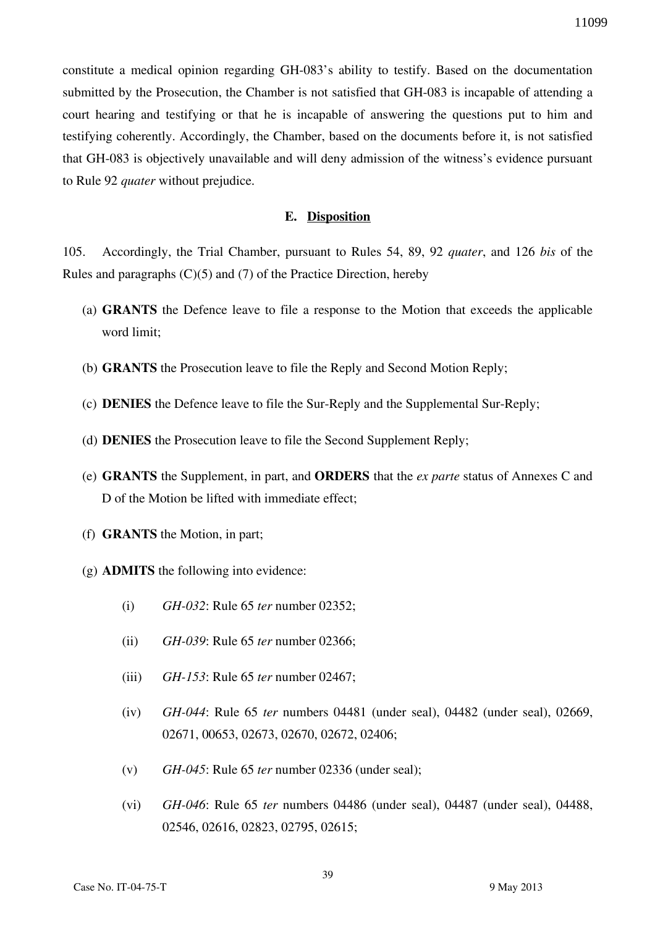constitute a medical opinion regarding GH-083's ability to testify. Based on the documentation submitted by the Prosecution, the Chamber is not satisfied that GH-083 is incapable of attending a court hearing and testifying or that he is incapable of answering the questions put to him and testifying coherently. Accordingly, the Chamber, based on the documents before it, is not satisfied that GH-083 is objectively unavailable and will deny admission of the witness's evidence pursuant to Rule 92 *quater* without prejudice.

## **E. Disposition**

105. Accordingly, the Trial Chamber, pursuant to Rules 54, 89, 92 *quater*, and 126 *bis* of the Rules and paragraphs (C)(5) and (7) of the Practice Direction, hereby

- (a) **GRANTS** the Defence leave to file a response to the Motion that exceeds the applicable word limit;
- (b) **GRANTS** the Prosecution leave to file the Reply and Second Motion Reply;
- (c) **DENIES** the Defence leave to file the Sur-Reply and the Supplemental Sur-Reply;
- (d) **DENIES** the Prosecution leave to file the Second Supplement Reply;
- (e) **GRANTS** the Supplement, in part, and **ORDERS** that the *ex parte* status of Annexes C and D of the Motion be lifted with immediate effect;
- (f) **GRANTS** the Motion, in part;
- (g) **ADMITS** the following into evidence:
	- (i) *GH-032*: Rule 65 *ter* number 02352;
	- (ii) *GH-039*: Rule 65 *ter* number 02366;
	- (iii) *GH-153*: Rule 65 *ter* number 02467;
	- (iv) *GH-044*: Rule 65 *ter* numbers 04481 (under seal), 04482 (under seal), 02669, 02671, 00653, 02673, 02670, 02672, 02406;
	- (v) *GH-045*: Rule 65 *ter* number 02336 (under seal);
	- (vi) *GH-046*: Rule 65 *ter* numbers 04486 (under seal), 04487 (under seal), 04488, 02546, 02616, 02823, 02795, 02615;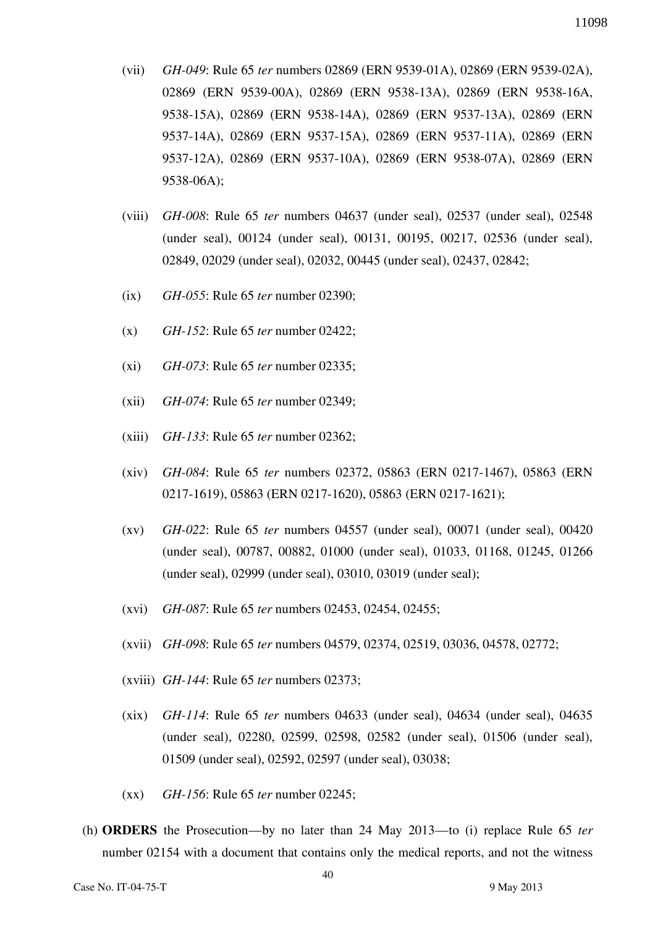- (vii) *GH-049*: Rule 65 *ter* numbers 02869 (ERN 9539-01A), 02869 (ERN 9539-02A), 02869 (ERN 9539-00A), 02869 (ERN 9538-13A), 02869 (ERN 9538-16A, 9538-15A), 02869 (ERN 9538-14A), 02869 (ERN 9537-13A), 02869 (ERN 9537-14A), 02869 (ERN 9537-15A), 02869 (ERN 9537-11A), 02869 (ERN 9537-12A), 02869 (ERN 9537-10A), 02869 (ERN 9538-07A), 02869 (ERN 9538-06A);
- (viii) *GH-008*: Rule 65 *ter* numbers 04637 (under seal), 02537 (under seal), 02548 (under seal), 00124 (under seal), 00131, 00195, 00217, 02536 (under seal), 02849, 02029 (under seal), 02032, 00445 (under seal), 02437, 02842;
- (ix) *GH-055*: Rule 65 *ter* number 02390;
- (x) *GH-152*: Rule 65 *ter* number 02422;
- (xi) *GH-073*: Rule 65 *ter* number 02335;
- (xii) *GH-074*: Rule 65 *ter* number 02349;
- (xiii) *GH-133*: Rule 65 *ter* number 02362;
- (xiv) *GH-084*: Rule 65 *ter* numbers 02372, 05863 (ERN 0217-1467), 05863 (ERN 0217-1619), 05863 (ERN 0217-1620), 05863 (ERN 0217-1621);
- (xv) *GH-022*: Rule 65 *ter* numbers 04557 (under seal), 00071 (under seal), 00420 (under seal), 00787, 00882, 01000 (under seal), 01033, 01168, 01245, 01266 (under seal), 02999 (under seal), 03010, 03019 (under seal);
- (xvi) *GH-087*: Rule 65 *ter* numbers 02453, 02454, 02455;
- (xvii) *GH-098*: Rule 65 *ter* numbers 04579, 02374, 02519, 03036, 04578, 02772;
- (xviii) *GH-144*: Rule 65 *ter* numbers 02373;
- (xix) *GH-114*: Rule 65 *ter* numbers 04633 (under seal), 04634 (under seal), 04635 (under seal), 02280, 02599, 02598, 02582 (under seal), 01506 (under seal), 01509 (under seal), 02592, 02597 (under seal), 03038;
- (xx) *GH-156*: Rule 65 *ter* number 02245;
- (h) **ORDERS** the Prosecution—by no later than 24 May 2013—to (i) replace Rule 65 *ter*  number 02154 with a document that contains only the medical reports, and not the witness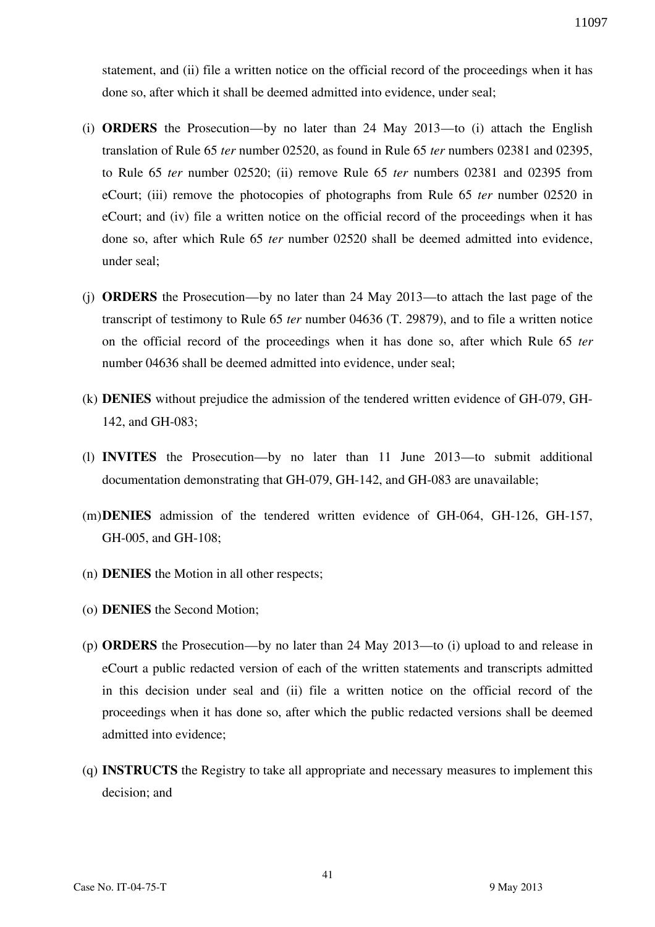statement, and (ii) file a written notice on the official record of the proceedings when it has done so, after which it shall be deemed admitted into evidence, under seal;

- (i) **ORDERS** the Prosecution—by no later than 24 May 2013—to (i) attach the English translation of Rule 65 *ter* number 02520, as found in Rule 65 *ter* numbers 02381 and 02395, to Rule 65 *ter* number 02520; (ii) remove Rule 65 *ter* numbers 02381 and 02395 from eCourt; (iii) remove the photocopies of photographs from Rule 65 *ter* number 02520 in eCourt; and (iv) file a written notice on the official record of the proceedings when it has done so, after which Rule 65 *ter* number 02520 shall be deemed admitted into evidence, under seal;
- (j) **ORDERS** the Prosecution—by no later than 24 May 2013—to attach the last page of the transcript of testimony to Rule 65 *ter* number 04636 (T. 29879), and to file a written notice on the official record of the proceedings when it has done so, after which Rule 65 *ter*  number 04636 shall be deemed admitted into evidence, under seal;
- (k) **DENIES** without prejudice the admission of the tendered written evidence of GH-079, GH-142, and GH-083;
- (l) **INVITES** the Prosecution—by no later than 11 June 2013—to submit additional documentation demonstrating that GH-079, GH-142, and GH-083 are unavailable;
- (m)**DENIES** admission of the tendered written evidence of GH-064, GH-126, GH-157, GH-005, and GH-108;
- (n) **DENIES** the Motion in all other respects;
- (o) **DENIES** the Second Motion;
- (p) **ORDERS** the Prosecution—by no later than 24 May 2013—to (i) upload to and release in eCourt a public redacted version of each of the written statements and transcripts admitted in this decision under seal and (ii) file a written notice on the official record of the proceedings when it has done so, after which the public redacted versions shall be deemed admitted into evidence;
- (q) **INSTRUCTS** the Registry to take all appropriate and necessary measures to implement this decision; and